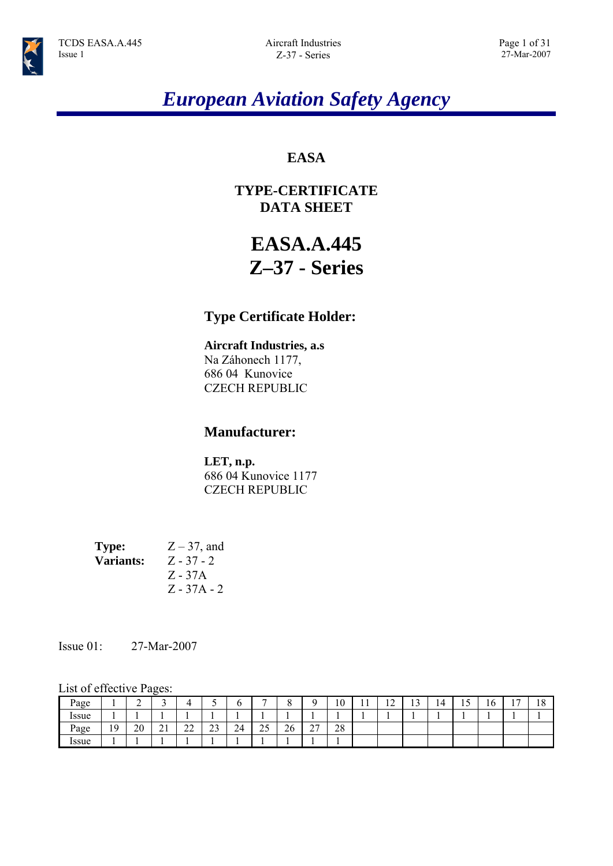# *European Aviation Safety Agency*

# **EASA**

# **TYPE-CERTIFICATE DATA SHEET**

# **EASA.A.445 Z–37 - Series**

# **Type Certificate Holder:**

### **Aircraft Industries, a.s**

Na Záhonech 1177, 686 04 Kunovice CZECH REPUBLIC

## **Manufacturer:**

**LET, n.p.**  686 04 Kunovice 1177 CZECH REPUBLIC

**Type:**  $Z - 37$ , and **Variants:** Z - 37 - 2 Z - 37A Z - 37A - 2

### Issue 01: 27-Mar-2007

### List of effective Pages:

| Page         |    | ◠  | ⌒                    | ∸            |                |    | -                    |    |                                    | 10 |     | $\sim$<br>$\overline{1}$ | $\sim$<br>٠ | $\overline{a}$ | 1 U | $\overline{\phantom{0}}$ | 1 O<br>10 |
|--------------|----|----|----------------------|--------------|----------------|----|----------------------|----|------------------------------------|----|-----|--------------------------|-------------|----------------|-----|--------------------------|-----------|
| <i>Issue</i> |    | ∸  |                      |              |                |    |                      |    |                                    |    | . . |                          |             |                |     |                          |           |
| Page         | 19 | 20 | $\sim$ 1<br>$\sim$ 1 | $\sim$<br>∠∠ | $\sim$<br>ر بے | 24 | $\sim$ $\sim$<br>ر گ | 26 | $\sim$<br>$\overline{\phantom{a}}$ | 28 |     |                          |             |                |     |                          |           |
| Issue        |    |    |                      |              |                |    |                      |    |                                    |    |     |                          |             |                |     |                          |           |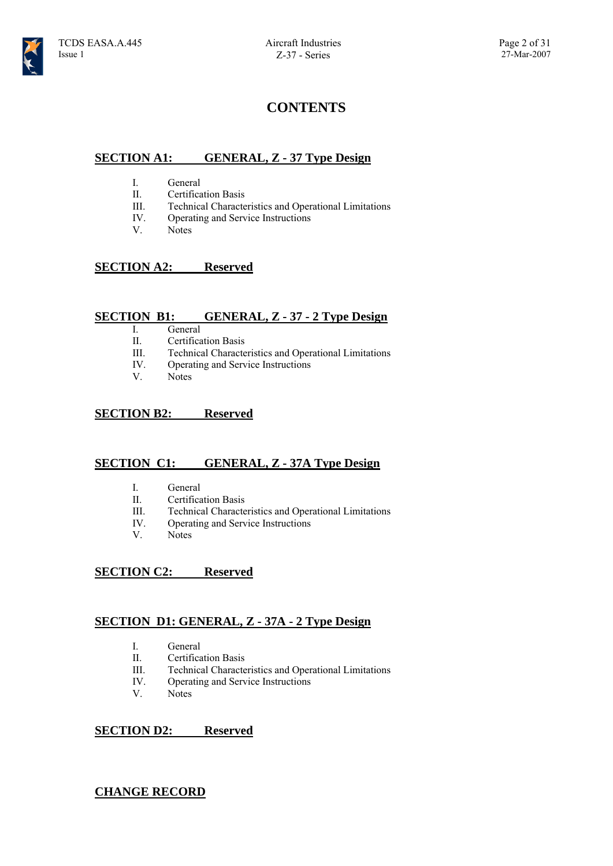## **CONTENTS**

### **SECTION A1: GENERAL, Z - 37 Type Design**

- I. General
- II. Certification Basis
- III. Technical Characteristics and Operational Limitations
- IV. Operating and Service Instructions
- V. Notes

### **SECTION A2: Reserved**

### **SECTION B1: GENERAL, Z - 37 - 2 Type Design**

- I. General
- II. Certification Basis
- III. Technical Characteristics and Operational Limitations
- IV. Operating and Service Instructions
- V. Notes

### **SECTION B2: Reserved**

### **SECTION C1: GENERAL, Z - 37A Type Design**

- I. General
- II. Certification Basis
- III. Technical Characteristics and Operational Limitations
- IV. Operating and Service Instructions<br>V Notes
- Notes

### **SECTION C2: Reserved**

### **SECTION D1: GENERAL, Z - 37A - 2 Type Design**

- I. General
- II. Certification Basis
- III. Technical Characteristics and Operational Limitations
- IV. Operating and Service Instructions
- V. Notes

### **SECTION D2: Reserved**

### **CHANGE RECORD**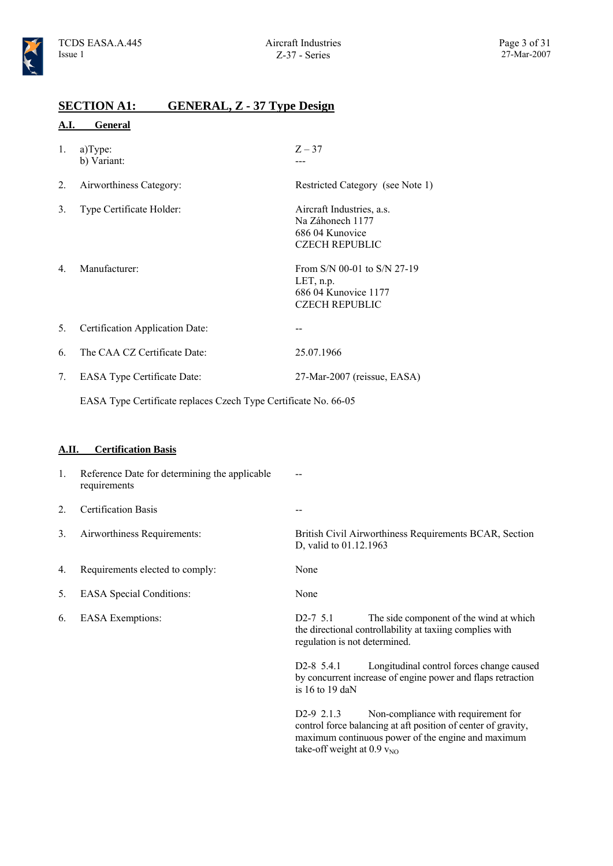### **SECTION A1: GENERAL, Z - 37 Type Design**

#### **A.I. General**

| 1. | a) Type:<br>b) Variant:            | $Z - 37$                                                                                         |
|----|------------------------------------|--------------------------------------------------------------------------------------------------|
| 2. | Airworthiness Category:            | Restricted Category (see Note 1)                                                                 |
| 3. | Type Certificate Holder:           | Aircraft Industries, a.s.<br>Na Záhonech 1177<br>686 04 Kunovice<br><b>CZECH REPUBLIC</b>        |
| 4. | Manufacturer:                      | From $S/N$ 00-01 to $S/N$ 27-19<br>LET, $n.p$ .<br>686 04 Kunovice 1177<br><b>CZECH REPUBLIC</b> |
| 5. | Certification Application Date:    |                                                                                                  |
| 6. | The CAA CZ Certificate Date:       | 25.07.1966                                                                                       |
| 7. | <b>EASA Type Certificate Date:</b> | 27-Mar-2007 (reissue, EASA)                                                                      |

EASA Type Certificate replaces Czech Type Certificate No. 66-05

#### **A.II. Certification Basis**

| 1. | Reference Date for determining the applicable<br>requirements |                                             |                                                                                                          |
|----|---------------------------------------------------------------|---------------------------------------------|----------------------------------------------------------------------------------------------------------|
| 2. | <b>Certification Basis</b>                                    | --                                          |                                                                                                          |
| 3. | Airworthiness Requirements:                                   | D, valid to 01.12.1963                      | British Civil Airworthiness Requirements BCAR, Section                                                   |
| 4. | Requirements elected to comply:                               | None                                        |                                                                                                          |
| 5. | <b>EASA</b> Special Conditions:                               | None                                        |                                                                                                          |
| 6. | <b>EASA</b> Exemptions:                                       | $D2-7$ 5.1<br>regulation is not determined. | The side component of the wind at which<br>the directional controllability at taxiing complies with      |
|    |                                                               | $D2-8$ 5.4.1<br>is 16 to 19 daN             | Longitudinal control forces change caused<br>by concurrent increase of engine power and flaps retraction |
|    |                                                               | $D2-9$ 2.1.3                                | Non-compliance with requirement for                                                                      |

control force balancing at aft position of center of gravity, maximum continuous power of the engine and maximum take-off weight at  $0.9 v_{\text{NO}}$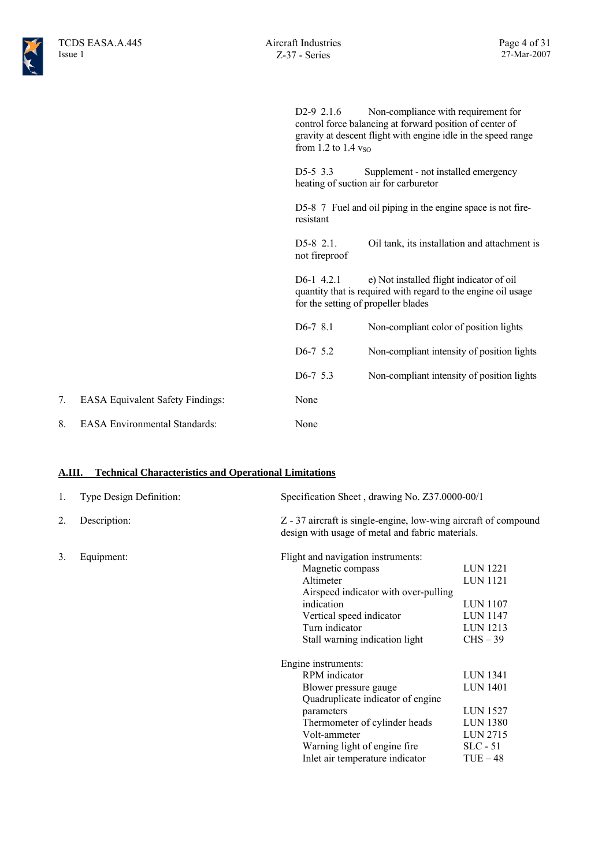D2-9 2.1.6 Non-compliance with requirement for control force balancing at forward position of center of gravity at descent flight with engine idle in the speed range from 1.2 to 1.4  $v_{SO}$ 

D5-5 3.3 Supplement - not installed emergency heating of suction air for carburetor

D5-8 7 Fuel and oil piping in the engine space is not fireresistant

D5-8 2.1. Oil tank, its installation and attachment is not fireproof

D6-1 4.2.1 e) Not installed flight indicator of oil quantity that is required with regard to the engine oil usage for the setting of propeller blades

| $D6-78.1$   | Non-compliant color of position lights     |
|-------------|--------------------------------------------|
| $D6-7$ 5.2  | Non-compliant intensity of position lights |
| $D6-7$ 5.3  | Non-compliant intensity of position lights |
| None        |                                            |
| <b>None</b> |                                            |

### **A.III. Technical Characteristics and Operational Limitations**

7. EASA Equivalent Safety Findings:

8. EASA Environmental Standards:

| 1. | Type Design Definition: | Specification Sheet, drawing No. Z37.0000-00/1                                                                      |                 |
|----|-------------------------|---------------------------------------------------------------------------------------------------------------------|-----------------|
| 2. | Description:            | Z - 37 aircraft is single-engine, low-wing aircraft of compound<br>design with usage of metal and fabric materials. |                 |
| 3. | Equipment:              | Flight and navigation instruments:                                                                                  |                 |
|    |                         | Magnetic compass                                                                                                    | LUN 1221        |
|    |                         | Altimeter                                                                                                           | <b>LUN 1121</b> |
|    |                         | Airspeed indicator with over-pulling                                                                                |                 |
|    |                         | indication                                                                                                          | <b>LUN 1107</b> |
|    |                         | Vertical speed indicator                                                                                            | <b>LUN 1147</b> |
|    |                         | Turn indicator                                                                                                      | LUN 1213        |
|    |                         | Stall warning indication light                                                                                      | $CHS - 39$      |
|    |                         | Engine instruments:                                                                                                 |                 |
|    |                         | RPM indicator                                                                                                       | <b>LUN 1341</b> |
|    |                         | Blower pressure gauge                                                                                               | <b>LUN 1401</b> |
|    |                         | Quadruplicate indicator of engine                                                                                   |                 |
|    |                         | parameters                                                                                                          | <b>LUN 1527</b> |
|    |                         | Thermometer of cylinder heads                                                                                       | <b>LUN 1380</b> |
|    |                         | Volt-ammeter                                                                                                        | LUN 2715        |
|    |                         | Warning light of engine fire                                                                                        | $SLC - 51$      |
|    |                         | Inlet air temperature indicator                                                                                     | $TUE-48$        |
|    |                         |                                                                                                                     |                 |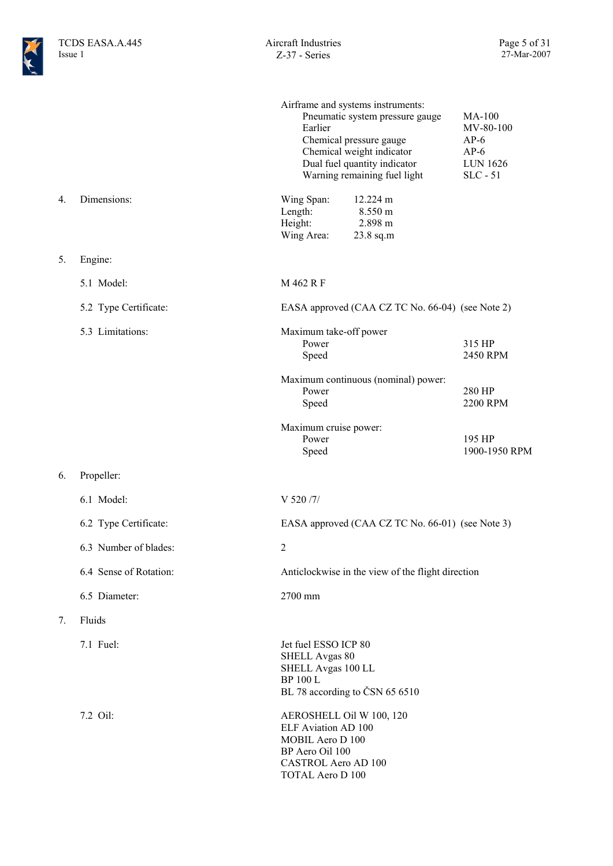|    |                        | Airframe and systems instruments:<br>Pneumatic system pressure gauge<br>Earlier<br>Chemical pressure gauge<br>Chemical weight indicator<br>Dual fuel quantity indicator<br>Warning remaining fuel light | <b>MA-100</b><br>MV-80-100<br>$AP-6$<br>$AP-6$<br><b>LUN 1626</b><br>$SLC - 51$ |
|----|------------------------|---------------------------------------------------------------------------------------------------------------------------------------------------------------------------------------------------------|---------------------------------------------------------------------------------|
| 4. | Dimensions:            | Wing Span:<br>12.224 m<br>8.550 m<br>Length:<br>2.898 m<br>Height:<br>Wing Area:<br>23.8 sq.m                                                                                                           |                                                                                 |
| 5. | Engine:                |                                                                                                                                                                                                         |                                                                                 |
|    | 5.1 Model:             | M 462 R F                                                                                                                                                                                               |                                                                                 |
|    | 5.2 Type Certificate:  | EASA approved (CAA CZ TC No. 66-04) (see Note 2)                                                                                                                                                        |                                                                                 |
|    | 5.3 Limitations:       | Maximum take-off power<br>Power<br>Speed                                                                                                                                                                | 315 HP<br>2450 RPM                                                              |
|    |                        | Maximum continuous (nominal) power:<br>Power<br>Speed                                                                                                                                                   | 280 HP<br>2200 RPM                                                              |
|    |                        | Maximum cruise power:<br>Power<br>Speed                                                                                                                                                                 | 195 HP<br>1900-1950 RPM                                                         |
| 6. | Propeller:             |                                                                                                                                                                                                         |                                                                                 |
|    | 6.1 Model:             | V 520 /7/                                                                                                                                                                                               |                                                                                 |
|    | 6.2 Type Certificate:  | EASA approved (CAA CZ TC No. 66-01) (see Note 3)                                                                                                                                                        |                                                                                 |
|    | 6.3 Number of blades:  | $\overline{2}$                                                                                                                                                                                          |                                                                                 |
|    | 6.4 Sense of Rotation: | Anticlockwise in the view of the flight direction                                                                                                                                                       |                                                                                 |
|    | 6.5 Diameter:          | 2700 mm                                                                                                                                                                                                 |                                                                                 |
| 7. | Fluids                 |                                                                                                                                                                                                         |                                                                                 |
|    | 7.1 Fuel:              | Jet fuel ESSO ICP 80<br><b>SHELL Avgas 80</b><br>SHELL Avgas 100 LL<br><b>BP 100 L</b><br>BL 78 according to ČSN 65 6510                                                                                |                                                                                 |
|    | 7.2 Oil:               | AEROSHELL Oil W 100, 120<br>ELF Aviation AD 100<br>MOBIL Aero D 100<br>BP Aero Oil 100<br><b>CASTROL Aero AD 100</b><br><b>TOTAL Aero D 100</b>                                                         |                                                                                 |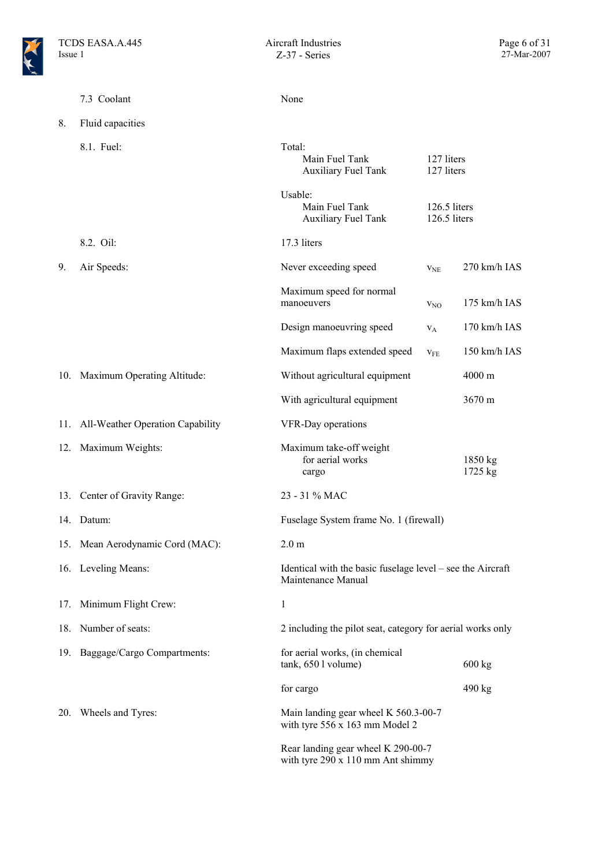|     | 7.3 Coolant                          | None                                                                             |                              |                    |
|-----|--------------------------------------|----------------------------------------------------------------------------------|------------------------------|--------------------|
| 8.  | Fluid capacities                     |                                                                                  |                              |                    |
|     | 8.1. Fuel:                           | Total:<br>Main Fuel Tank<br><b>Auxiliary Fuel Tank</b>                           | 127 liters<br>127 liters     |                    |
|     |                                      | Usable:<br>Main Fuel Tank<br><b>Auxiliary Fuel Tank</b>                          | 126.5 liters<br>126.5 liters |                    |
|     | 8.2. Oil:                            | 17.3 liters                                                                      |                              |                    |
| 9.  | Air Speeds:                          | Never exceeding speed                                                            | V <sub>NE</sub>              | 270 km/h IAS       |
|     |                                      | Maximum speed for normal<br>manoeuvers                                           | $V_{NO}$                     | 175 km/h IAS       |
|     |                                      | Design manoeuvring speed                                                         | $V_A$                        | 170 km/h IAS       |
|     |                                      | Maximum flaps extended speed                                                     | $V_{FE}$                     | 150 km/h IAS       |
|     | 10. Maximum Operating Altitude:      | Without agricultural equipment                                                   |                              | 4000 m             |
|     |                                      | With agricultural equipment                                                      |                              | 3670 m             |
|     | 11. All-Weather Operation Capability | VFR-Day operations                                                               |                              |                    |
|     | 12. Maximum Weights:                 | Maximum take-off weight<br>for aerial works<br>cargo                             |                              | 1850 kg<br>1725 kg |
|     | 13. Center of Gravity Range:         | 23 - 31 % MAC                                                                    |                              |                    |
|     | 14. Datum:                           | Fuselage System frame No. 1 (firewall)                                           |                              |                    |
|     | 15. Mean Aerodynamic Cord (MAC):     | 2.0 <sub>m</sub>                                                                 |                              |                    |
|     | 16. Leveling Means:                  | Identical with the basic fuselage level – see the Aircraft<br>Maintenance Manual |                              |                    |
| 17. | Minimum Flight Crew:                 | $\mathbf{1}$                                                                     |                              |                    |
| 18. | Number of seats:                     | 2 including the pilot seat, category for aerial works only                       |                              |                    |
| 19. | Baggage/Cargo Compartments:          | for aerial works, (in chemical<br>tank, 650 l volume)                            |                              | $600 \text{ kg}$   |
|     |                                      | for cargo                                                                        |                              | 490 kg             |
| 20. | Wheels and Tyres:                    | Main landing gear wheel K 560.3-00-7<br>with tyre 556 x 163 mm Model 2           |                              |                    |
|     |                                      | Rear landing gear wheel K 290-00-7<br>with tyre 290 x 110 mm Ant shimmy          |                              |                    |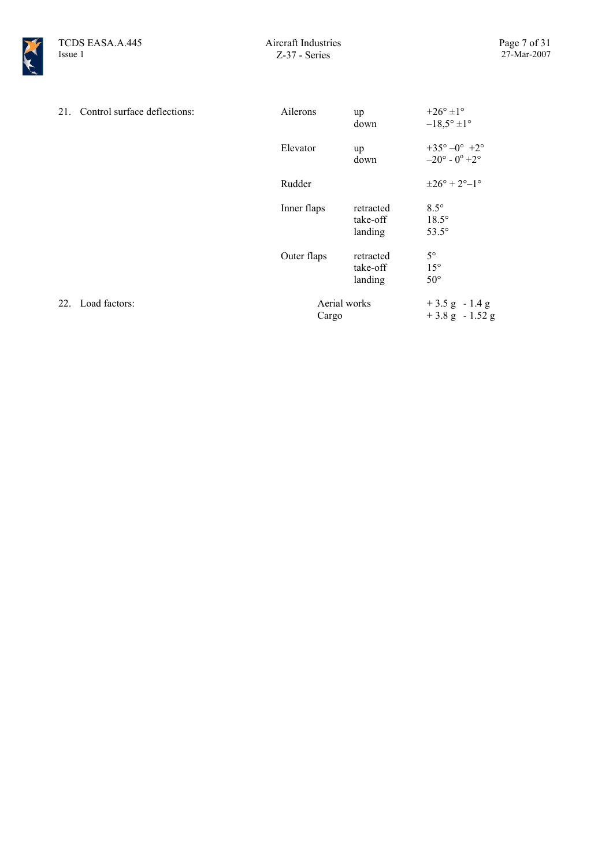

| 21. Control surface deflections: | Ailerons              | up<br>down                       | $+26^{\circ}$ ±1°<br>$-18,5^{\circ} \pm 1^{\circ}$             |
|----------------------------------|-----------------------|----------------------------------|----------------------------------------------------------------|
|                                  | Elevator              | up<br>down                       | $+35^{\circ}-0^{\circ}$ +2°<br>$-20^{\circ}$ - $0^{\circ}$ +2° |
|                                  | Rudder                |                                  | $\pm 26^{\circ} + 2^{\circ} - 1^{\circ}$                       |
|                                  | Inner flaps           | retracted<br>take-off<br>landing | $8.5^\circ$<br>$18.5^\circ$<br>$53.5^\circ$                    |
|                                  | Outer flaps           | retracted<br>take-off<br>landing | $5^{\circ}$<br>$15^{\circ}$<br>$50^{\circ}$                    |
| 22. Load factors:                | Aerial works<br>Cargo |                                  | $+3.5$ g $-1.4$ g<br>$+3.8$ g $-1.52$ g                        |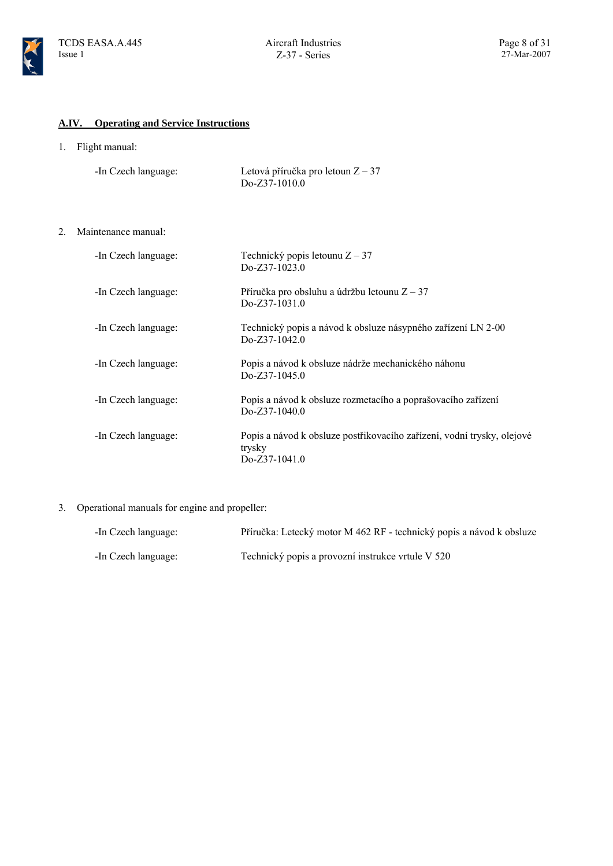

#### **A.IV. Operating and Service Instructions**

1. Flight manual:

| -In Czech language: | Letová příručka pro letoun $Z - 37$ |
|---------------------|-------------------------------------|
|                     | $Do-Z37-1010.0$                     |

2. Maintenance manual:

| -In Czech language: | Technický popis letounu $Z - 37$<br>$Do-Z37-1023.0$                                               |
|---------------------|---------------------------------------------------------------------------------------------------|
| -In Czech language: | Příručka pro obsluhu a údržbu letounu $Z - 37$<br>$Do-Z37-1031.0$                                 |
| -In Czech language: | Technický popis a návod k obsluze násypného zařízení LN 2-00<br>Do-Z37-1042.0                     |
| -In Czech language: | Popis a návod k obsluze nádrže mechanického náhonu<br>$Do-Z37-1045.0$                             |
| -In Czech language: | Popis a návod k obsluze rozmetacího a poprašovacího zařízení<br>$Do-Z37-1040.0$                   |
| -In Czech language: | Popis a návod k obsluze postřikovacího zařízení, vodní trysky, olejové<br>trysky<br>Do-Z37-1041.0 |

3. Operational manuals for engine and propeller:

| -In Czech language: | Příručka: Letecký motor M 462 RF - technický popis a návod k obsluze |
|---------------------|----------------------------------------------------------------------|
| -In Czech language: | Technický popis a provozní instrukce vrtule V 520                    |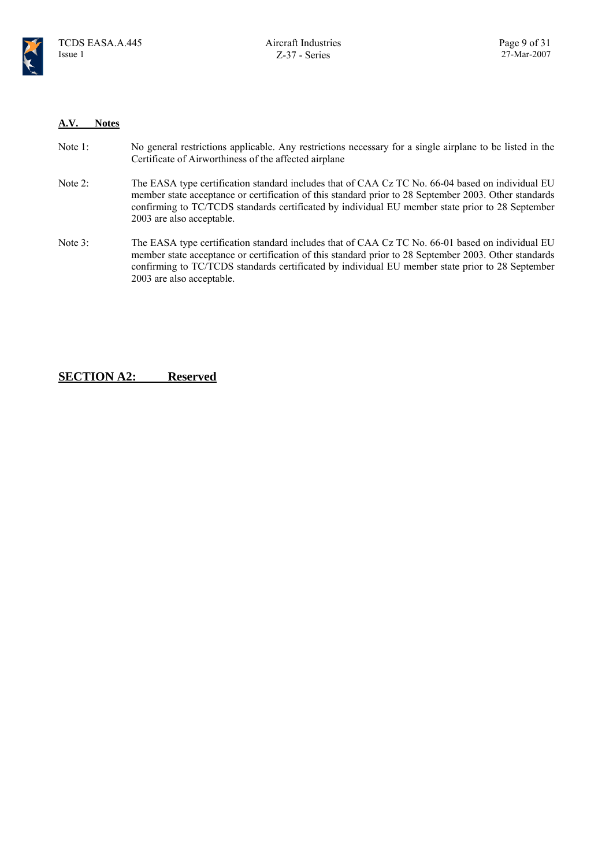

#### **A.V. Notes**

| Note 1: | No general restrictions applicable. Any restrictions necessary for a single airplane to be listed in the |
|---------|----------------------------------------------------------------------------------------------------------|
|         | Certificate of Airworthiness of the affected airplane                                                    |

- Note 2: The EASA type certification standard includes that of CAA Cz TC No. 66-04 based on individual EU member state acceptance or certification of this standard prior to 28 September 2003. Other standards confirming to TC/TCDS standards certificated by individual EU member state prior to 28 September 2003 are also acceptable.
- Note 3: The EASA type certification standard includes that of CAA Cz TC No. 66-01 based on individual EU member state acceptance or certification of this standard prior to 28 September 2003. Other standards confirming to TC/TCDS standards certificated by individual EU member state prior to 28 September 2003 are also acceptable.

### **SECTION A2: Reserved**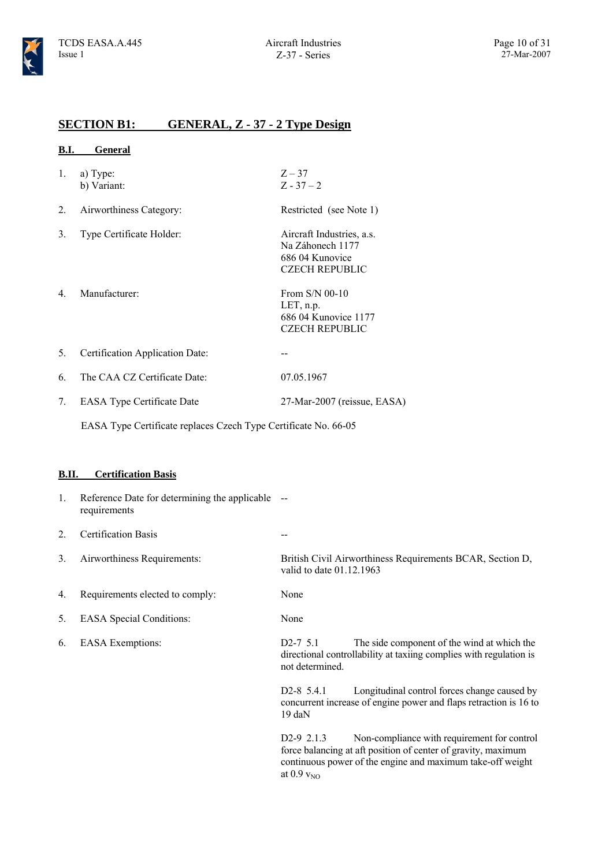### **SECTION B1: GENERAL, Z - 37 - 2 Type Design**

#### **B.I. General**

- 1. a) Type: b) Variant:
- 2. Airworthiness Category: Restricted (see Note 1)
- 3. Type Certificate Holder: Aircraft Industries, a.s.
- 4. Manufacturer: From S/N 00-10

 $Z - 37$  $Z - 37 - 2$ 

Na Záhonech 1177 686 04 Kunovice CZECH REPUBLIC

LET, n.p. 686 04 Kunovice 1177 CZECH REPUBLIC

- 5. Certification Application Date: --
- 6. The CAA CZ Certificate Date: 07.05.1967
- 7. EASA Type Certificate Date 27-Mar-2007 (reissue, EASA)

EASA Type Certificate replaces Czech Type Certificate No. 66-05

#### **B.II. Certification Basis**

1. Reference Date for determining the applicable - requirements 2. Certification Basis -- 3. Airworthiness Requirements: British Civil Airworthiness Requirements BCAR, Section D, valid to date 01.12.1963 4. Requirements elected to comply: None 5. EASA Special Conditions: None 6. EASA Exemptions: D2-7 5.1 The side component of the wind at which the directional controllability at taxiing complies with regulation is not determined. D2-8 5.4.1 Longitudinal control forces change caused by concurrent increase of engine power and flaps retraction is 16 to 19 daN D2-9 2.1.3 Non-compliance with requirement for control force balancing at aft position of center of gravity, maximum continuous power of the engine and maximum take-off weight

at  $0.9 v_{N<sub>O</sub>}$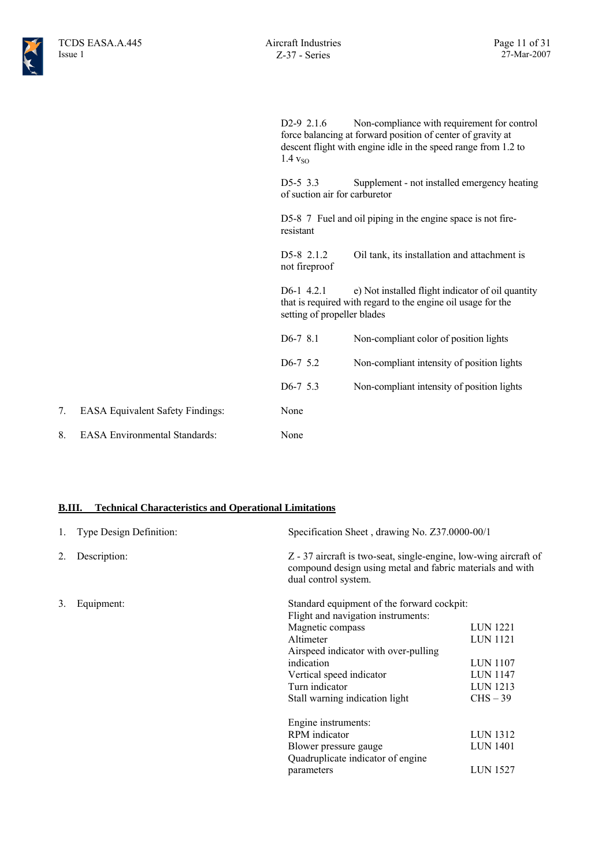D2-9 2.1.6 Non-compliance with requirement for control force balancing at forward position of center of gravity at descent flight with engine idle in the speed range from 1.2 to  $1.4 v<sub>SO</sub>$ 

D5-5 3.3 Supplement - not installed emergency heating of suction air for carburetor

D5-8 7 Fuel and oil piping in the engine space is not fireresistant

D5-8 2.1.2 Oil tank, its installation and attachment is not fireproof

D6-1 4.2.1 e) Not installed flight indicator of oil quantity that is required with regard to the engine oil usage for the setting of propeller blades

| $D6-78.1$             | Non-compliant color of position lights     |
|-----------------------|--------------------------------------------|
| D <sub>6</sub> -7 5.2 | Non-compliant intensity of position lights |
| $D6-7$ 5.3            | Non-compliant intensity of position lights |
| None                  |                                            |
| None                  |                                            |

#### **B.III. Technical Characteristics and Operational Limitations**

7. EASA Equivalent Safety Findings:

8. EASA Environmental Standards:

| 1. | Type Design Definition: | Specification Sheet, drawing No. Z37.0000-00/1 |                                                                                                                               |  |
|----|-------------------------|------------------------------------------------|-------------------------------------------------------------------------------------------------------------------------------|--|
| 2. | Description:            | dual control system.                           | Z - 37 aircraft is two-seat, single-engine, low-wing aircraft of<br>compound design using metal and fabric materials and with |  |
| 3. | Equipment:              | Standard equipment of the forward cockpit:     |                                                                                                                               |  |
|    |                         | Flight and navigation instruments:             |                                                                                                                               |  |
|    |                         | Magnetic compass                               | <b>LUN 1221</b>                                                                                                               |  |
|    |                         | Altimeter                                      | <b>LUN 1121</b>                                                                                                               |  |
|    |                         | Airspeed indicator with over-pulling           |                                                                                                                               |  |
|    |                         | indication                                     | <b>LUN 1107</b>                                                                                                               |  |
|    |                         | Vertical speed indicator                       | <b>LUN 1147</b>                                                                                                               |  |
|    |                         | Turn indicator                                 | LUN 1213                                                                                                                      |  |
|    |                         | Stall warning indication light                 | $CHS-39$                                                                                                                      |  |
|    |                         | Engine instruments:                            |                                                                                                                               |  |
|    |                         | RPM indicator                                  | <b>LUN 1312</b>                                                                                                               |  |
|    |                         | Blower pressure gauge                          | <b>LUN 1401</b>                                                                                                               |  |
|    |                         | Quadruplicate indicator of engine              |                                                                                                                               |  |
|    |                         | parameters                                     | <b>LUN 1527</b>                                                                                                               |  |
|    |                         |                                                |                                                                                                                               |  |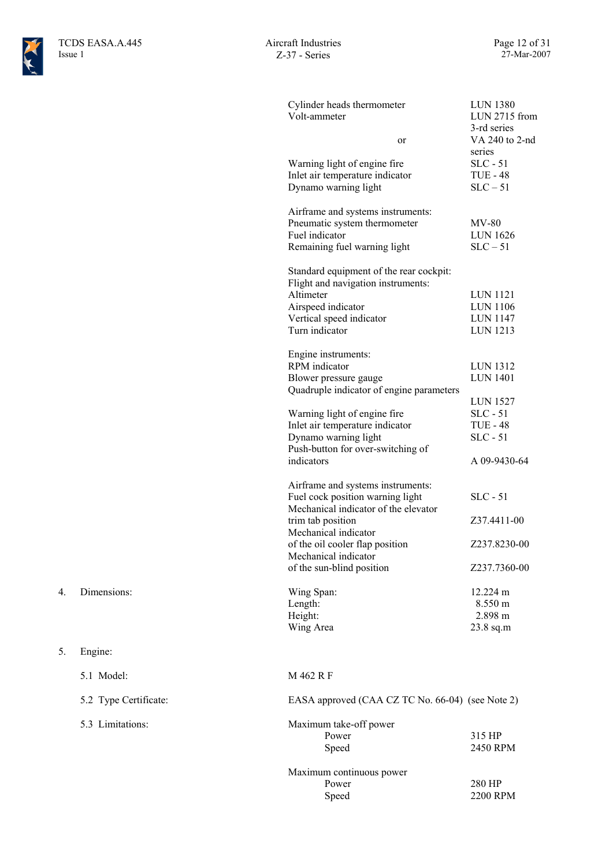

| Cylinder heads thermometer<br>Volt-ammeter<br>or<br>Warning light of engine fire | <b>LUN 1380</b><br>LUN 2715 from<br>3-rd series<br>VA 240 to 2-nd<br>series<br>$SLC - 51$ |
|----------------------------------------------------------------------------------|-------------------------------------------------------------------------------------------|
| Inlet air temperature indicator<br>Dynamo warning light                          | <b>TUE - 48</b><br>$SLC - 51$                                                             |
| Airframe and systems instruments:<br>Pneumatic system thermometer                | MV-80                                                                                     |
| Fuel indicator<br>Remaining fuel warning light                                   | <b>LUN 1626</b><br>$SLC - 51$                                                             |
| Standard equipment of the rear cockpit:                                          |                                                                                           |
| Flight and navigation instruments:                                               |                                                                                           |
| Altimeter                                                                        | <b>LUN 1121</b>                                                                           |
| Airspeed indicator                                                               | LUN 1106                                                                                  |
| Vertical speed indicator                                                         | <b>LUN 1147</b>                                                                           |
| Turn indicator                                                                   | LUN 1213                                                                                  |
|                                                                                  |                                                                                           |
| Engine instruments:                                                              |                                                                                           |
| <b>RPM</b> indicator                                                             | <b>LUN 1312</b>                                                                           |
| Blower pressure gauge                                                            | <b>LUN 1401</b>                                                                           |
| Quadruple indicator of engine parameters                                         |                                                                                           |
|                                                                                  | <b>LUN 1527</b>                                                                           |
| Warning light of engine fire                                                     | $SLC - 51$                                                                                |
| Inlet air temperature indicator                                                  | <b>TUE - 48</b>                                                                           |
| Dynamo warning light                                                             | $SLC - 51$                                                                                |
| Push-button for over-switching of                                                |                                                                                           |
| indicators                                                                       | A 09-9430-64                                                                              |
|                                                                                  |                                                                                           |
| Airframe and systems instruments:                                                |                                                                                           |
| Fuel cock position warning light                                                 | $SLC - 51$                                                                                |
| Mechanical indicator of the elevator                                             |                                                                                           |
| trim tab position                                                                | Z37.4411-00                                                                               |
| Mechanical indicator                                                             |                                                                                           |
| of the oil cooler flap position                                                  | Z237.8230-00                                                                              |
| Mechanical indicator                                                             |                                                                                           |
| of the sun-blind position                                                        | Z237.7360-00                                                                              |
|                                                                                  |                                                                                           |
| Wing Span:                                                                       | 12.224 m                                                                                  |
| Length:                                                                          | 8.550 m                                                                                   |
| Height:                                                                          | 2.898 m                                                                                   |
| Wing Area                                                                        | 23.8 sq.m                                                                                 |
|                                                                                  |                                                                                           |
| M 462 R F                                                                        |                                                                                           |
| EASA approved (CAA CZ TC No. 66-04) (see Note 2)                                 |                                                                                           |
|                                                                                  |                                                                                           |
| Maximum take-off power                                                           |                                                                                           |
| Power                                                                            | 315 HP                                                                                    |
| Speed                                                                            | 2450 RPM                                                                                  |
|                                                                                  |                                                                                           |

Maximum continuous power Power 280 HP<br>Speed 2200 RF 2200 RPM

- 4. Dimensions:
- 5. Engine:
- 
- 5.2 Type Certificate:
- 5.3 Limitations:

5.1 Model: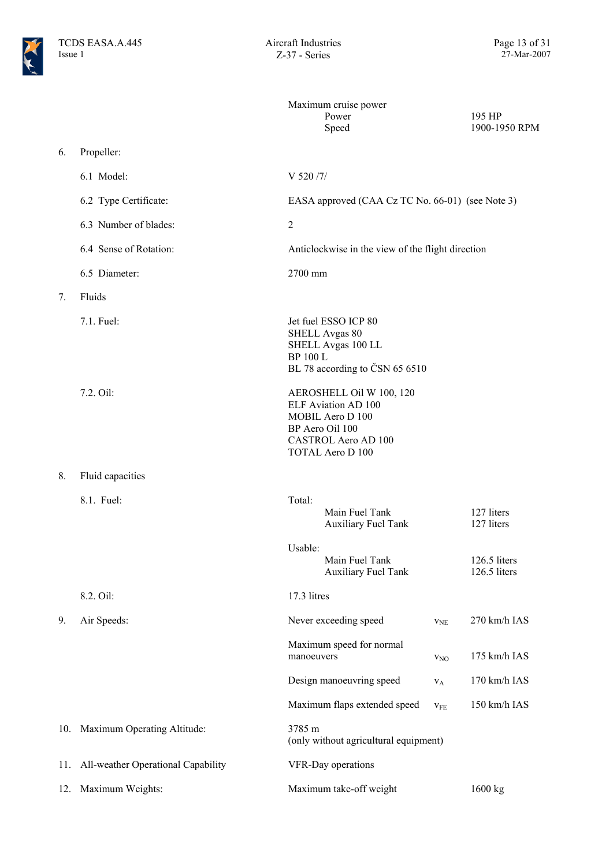

|     |                                    | Maximum cruise power<br>Power<br>Speed                                                                                                          |                          | 195 HP<br>1900-1950 RPM      |
|-----|------------------------------------|-------------------------------------------------------------------------------------------------------------------------------------------------|--------------------------|------------------------------|
| 6.  | Propeller:                         |                                                                                                                                                 |                          |                              |
|     | 6.1 Model:                         | V 520 /7/                                                                                                                                       |                          |                              |
|     | 6.2 Type Certificate:              | EASA approved (CAA Cz TC No. 66-01) (see Note 3)                                                                                                |                          |                              |
|     | 6.3 Number of blades:              | $\overline{2}$                                                                                                                                  |                          |                              |
|     | 6.4 Sense of Rotation:             | Anticlockwise in the view of the flight direction                                                                                               |                          |                              |
|     | 6.5 Diameter:                      | 2700 mm                                                                                                                                         |                          |                              |
| 7.  | Fluids                             |                                                                                                                                                 |                          |                              |
|     | 7.1. Fuel:                         | Jet fuel ESSO ICP 80<br><b>SHELL Avgas 80</b><br>SHELL Avgas 100 LL<br><b>BP 100 L</b><br>BL 78 according to ČSN 65 6510                        |                          |                              |
|     | 7.2. Oil:                          | AEROSHELL Oil W 100, 120<br>ELF Aviation AD 100<br>MOBIL Aero D 100<br>BP Aero Oil 100<br><b>CASTROL Aero AD 100</b><br><b>TOTAL Aero D 100</b> |                          |                              |
| 8.  | Fluid capacities                   |                                                                                                                                                 |                          |                              |
|     | 8.1. Fuel:                         | Total:<br>Main Fuel Tank<br><b>Auxiliary Fuel Tank</b>                                                                                          |                          | 127 liters<br>127 liters     |
|     |                                    | Usable:<br>Main Fuel Tank<br><b>Auxiliary Fuel Tank</b>                                                                                         |                          | 126.5 liters<br>126.5 liters |
|     | 8.2. Oil:                          | 17.3 litres                                                                                                                                     |                          |                              |
| 9.  | Air Speeds:                        | Never exceeding speed                                                                                                                           | $V_{NE}$                 | 270 km/h IAS                 |
|     |                                    | Maximum speed for normal<br>manoeuvers                                                                                                          | $V_{NO}$                 | 175 km/h IAS                 |
|     |                                    | Design manoeuvring speed                                                                                                                        | $V_A$                    | 170 km/h IAS                 |
|     |                                    | Maximum flaps extended speed                                                                                                                    | $\mathbf{v}_\mathrm{FE}$ | 150 km/h IAS                 |
| 10. | Maximum Operating Altitude:        | 3785 m<br>(only without agricultural equipment)                                                                                                 |                          |                              |
| 11. | All-weather Operational Capability | VFR-Day operations                                                                                                                              |                          |                              |
| 12. | Maximum Weights:                   | Maximum take-off weight                                                                                                                         |                          | 1600 kg                      |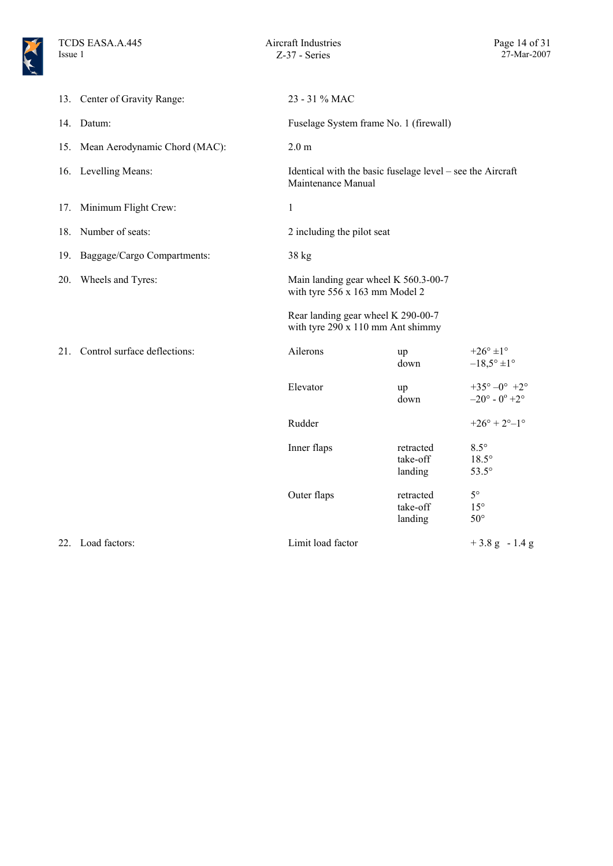

|     | 13. Center of Gravity Range:      | 23 - 31 % MAC                                                                    |                                  |                                                                |
|-----|-----------------------------------|----------------------------------------------------------------------------------|----------------------------------|----------------------------------------------------------------|
|     | 14. Datum:                        | Fuselage System frame No. 1 (firewall)                                           |                                  |                                                                |
|     | 15. Mean Aerodynamic Chord (MAC): | 2.0 <sub>m</sub>                                                                 |                                  |                                                                |
|     | 16. Levelling Means:              | Identical with the basic fuselage level – see the Aircraft<br>Maintenance Manual |                                  |                                                                |
|     | 17. Minimum Flight Crew:          | $\mathbf{1}$                                                                     |                                  |                                                                |
|     | 18. Number of seats:              | 2 including the pilot seat                                                       |                                  |                                                                |
|     | 19. Baggage/Cargo Compartments:   | 38 kg                                                                            |                                  |                                                                |
| 20. | Wheels and Tyres:                 | Main landing gear wheel K 560.3-00-7<br>with tyre 556 x 163 mm Model 2           |                                  |                                                                |
|     |                                   | Rear landing gear wheel K 290-00-7<br>with tyre 290 x 110 mm Ant shimmy          |                                  |                                                                |
|     | 21. Control surface deflections:  | Ailerons                                                                         | up<br>down                       | $+26^{\circ}$ ±1°<br>$-18,5^{\circ} \pm 1^{\circ}$             |
|     |                                   | Elevator                                                                         | up<br>down                       | $+35^{\circ}-0^{\circ}$ +2°<br>$-20^{\circ}$ - $0^{\circ}$ +2° |
|     |                                   | Rudder                                                                           |                                  | $+26^{\circ} + 2^{\circ} - 1^{\circ}$                          |
|     |                                   | Inner flaps                                                                      | retracted<br>take-off<br>landing | $8.5^\circ$<br>$18.5^\circ$<br>$53.5^\circ$                    |
|     |                                   | Outer flaps                                                                      | retracted<br>take-off<br>landing | $5^\circ$<br>$15^{\circ}$<br>$50^{\circ}$                      |
|     | 22. Load factors:                 | Limit load factor                                                                |                                  | $+3.8$ g $-1.4$ g                                              |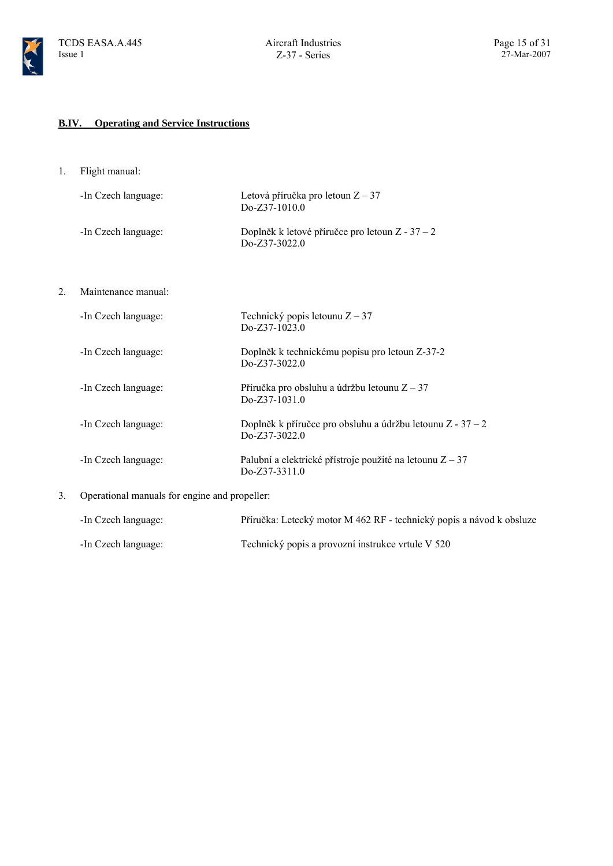

### **B.IV. Operating and Service Instructions**

1. Flight manual:

|    | -In Czech language: | Letová příručka pro letoun $Z - 37$<br>Do-Z37-1010.0                          |
|----|---------------------|-------------------------------------------------------------------------------|
|    | -In Czech language: | Doplněk k letové příručce pro letoun $Z - 37 - 2$<br>Do-Z37-3022.0            |
| 2. | Maintenance manual: |                                                                               |
|    | -In Czech language: | Technický popis letounu $Z - 37$<br>$Do-Z37-1023.0$                           |
|    | -In Czech language: | Doplněk k technickému popisu pro letoun Z-37-2<br>$DoZ37-3022.0$              |
|    | -In Czech language: | Příručka pro obsluhu a údržbu letounu $Z - 37$<br>Do-Z37-1031.0               |
|    | -In Czech language: | Doplněk k příručce pro obsluhu a údržbu letounu $Z - 37 - 2$<br>Do-Z37-3022.0 |
|    | -In Czech language: | Palubní a elektrické přístroje použité na letounu $Z - 37$<br>Do-Z37-3311.0   |
|    |                     |                                                                               |

3. Operational manuals for engine and propeller:

| -In Czech language: | Příručka: Letecký motor M 462 RF - technický popis a návod k obsluze |
|---------------------|----------------------------------------------------------------------|
| -In Czech language: | Technický popis a provozní instrukce vrtule V 520                    |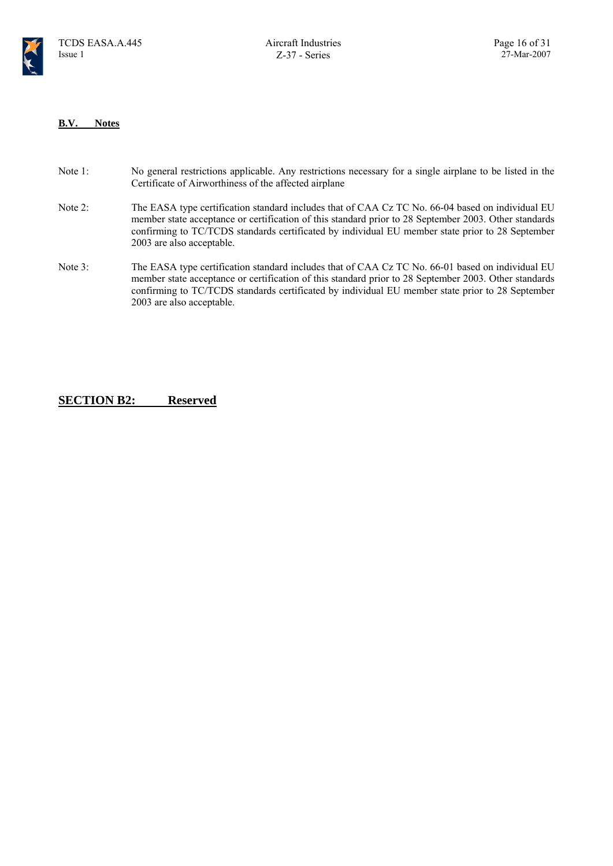

#### **B.V. Notes**

- Note 1: No general restrictions applicable. Any restrictions necessary for a single airplane to be listed in the Certificate of Airworthiness of the affected airplane
- Note 2: The EASA type certification standard includes that of CAA Cz TC No. 66-04 based on individual EU member state acceptance or certification of this standard prior to 28 September 2003. Other standards confirming to TC/TCDS standards certificated by individual EU member state prior to 28 September 2003 are also acceptable.
- Note 3: The EASA type certification standard includes that of CAA Cz TC No. 66-01 based on individual EU member state acceptance or certification of this standard prior to 28 September 2003. Other standards confirming to TC/TCDS standards certificated by individual EU member state prior to 28 September 2003 are also acceptable.

#### **SECTION B2: Reserved**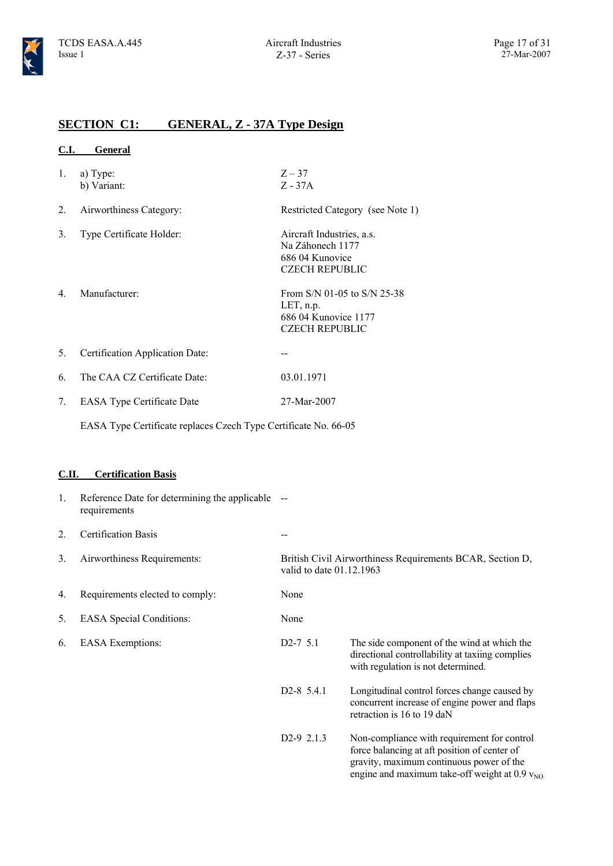$Z - 37$ Z - 37A

### **SECTION C1: GENERAL, Z - 37A Type Design**

| General |
|---------|
|         |

- 1. a) Type: b) Variant:
- 2. Airworthiness Category: Restricted Category (see Note 1)
- 3. Type Certificate Holder: Aircraft Industries, a.s.

686 04 Kunovice CZECH REPUBLIC 4. Manufacturer: From S/N 01-05 to S/N 25-38 LET, n.p. 686 04 Kunovice 1177 CZECH REPUBLIC

Na Záhonech 1177

- 5. Certification Application Date: --
- 6. The CAA CZ Certificate Date: 03.01.1971
- 7. EASA Type Certificate Date 27-Mar-2007

EASA Type Certificate replaces Czech Type Certificate No. 66-05

#### **C.II. Certification Basis**

| 1. | Reference Date for determining the applicable --<br>requirements |                          |                                                                                                                                                                                               |
|----|------------------------------------------------------------------|--------------------------|-----------------------------------------------------------------------------------------------------------------------------------------------------------------------------------------------|
| 2. | <b>Certification Basis</b>                                       |                          |                                                                                                                                                                                               |
| 3. | Airworthiness Requirements:                                      | valid to date 01.12.1963 | British Civil Airworthiness Requirements BCAR, Section D,                                                                                                                                     |
| 4. | Requirements elected to comply:                                  | None                     |                                                                                                                                                                                               |
| 5. | <b>EASA</b> Special Conditions:                                  | None                     |                                                                                                                                                                                               |
| 6. | <b>EASA</b> Exemptions:                                          | $D2-7$ 5.1               | The side component of the wind at which the<br>directional controllability at taxiing complies<br>with regulation is not determined.                                                          |
|    |                                                                  | $D2-8$ 5.4.1             | Longitudinal control forces change caused by<br>concurrent increase of engine power and flaps<br>retraction is 16 to 19 daN                                                                   |
|    |                                                                  | D <sub>2</sub> -9 2.1.3  | Non-compliance with requirement for control<br>force balancing at aft position of center of<br>gravity, maximum continuous power of the<br>engine and maximum take-off weight at $0.9 v_{NQ}$ |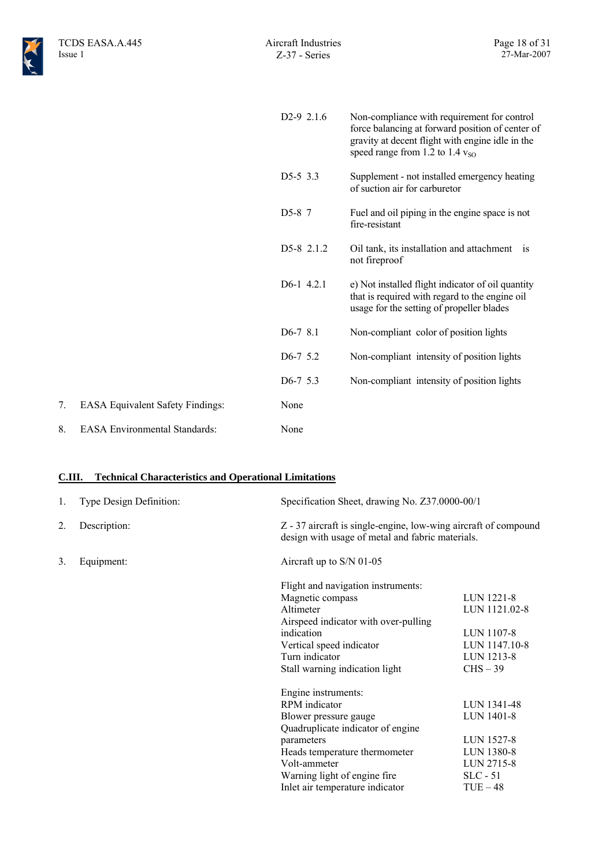|                                         | $D2-9$ 2.1.6            | Non-compliance with requirement for control<br>force balancing at forward position of center of<br>gravity at decent flight with engine idle in the<br>speed range from 1.2 to 1.4 $v_{\text{SO}}$ |
|-----------------------------------------|-------------------------|----------------------------------------------------------------------------------------------------------------------------------------------------------------------------------------------------|
|                                         | $D5-5$ 3.3              | Supplement - not installed emergency heating<br>of suction air for carburetor                                                                                                                      |
|                                         | D <sub>5</sub> -8 7     | Fuel and oil piping in the engine space is not<br>fire-resistant                                                                                                                                   |
|                                         | D5-8 2.1.2              | Oil tank, its installation and attachment is<br>not fireproof                                                                                                                                      |
|                                         | D <sub>6</sub> -1 4.2.1 | e) Not installed flight indicator of oil quantity<br>that is required with regard to the engine oil<br>usage for the setting of propeller blades                                                   |
|                                         | $D6-78.1$               | Non-compliant color of position lights                                                                                                                                                             |
|                                         | $D6-7$ 5.2              | Non-compliant intensity of position lights                                                                                                                                                         |
|                                         | $D6-7$ 5.3              | Non-compliant intensity of position lights                                                                                                                                                         |
| <b>EASA Equivalent Safety Findings:</b> | None                    |                                                                                                                                                                                                    |
| <b>EASA Environmental Standards:</b>    | None                    |                                                                                                                                                                                                    |
|                                         |                         |                                                                                                                                                                                                    |

#### **C.III. Technical Characteristics and Operational Limitations**

| 1. | Type Design Definition: | Specification Sheet, drawing No. Z37.0000-00/1                                                                      |               |
|----|-------------------------|---------------------------------------------------------------------------------------------------------------------|---------------|
| 2. | Description:            | Z - 37 aircraft is single-engine, low-wing aircraft of compound<br>design with usage of metal and fabric materials. |               |
| 3. | Equipment:              | Aircraft up to S/N 01-05                                                                                            |               |
|    |                         | Flight and navigation instruments:                                                                                  |               |
|    |                         | Magnetic compass                                                                                                    | LUN 1221-8    |
|    |                         | Altimeter                                                                                                           | LUN 1121.02-8 |
|    |                         | Airspeed indicator with over-pulling                                                                                |               |
|    |                         | indication                                                                                                          | LUN 1107-8    |
|    |                         | Vertical speed indicator                                                                                            | LUN 1147.10-8 |
|    |                         | Turn indicator                                                                                                      | LUN 1213-8    |
|    |                         | Stall warning indication light                                                                                      | $CHS - 39$    |
|    |                         | Engine instruments:                                                                                                 |               |
|    |                         | RPM indicator                                                                                                       | LUN 1341-48   |
|    |                         | Blower pressure gauge                                                                                               | LUN 1401-8    |
|    |                         | Quadruplicate indicator of engine                                                                                   |               |
|    |                         | parameters                                                                                                          | LUN 1527-8    |
|    |                         | Heads temperature thermometer                                                                                       | LUN 1380-8    |
|    |                         | Volt-ammeter                                                                                                        | LUN 2715-8    |
|    |                         | Warning light of engine fire                                                                                        | $SLC - 51$    |
|    |                         | Inlet air temperature indicator                                                                                     | $TUE-48$      |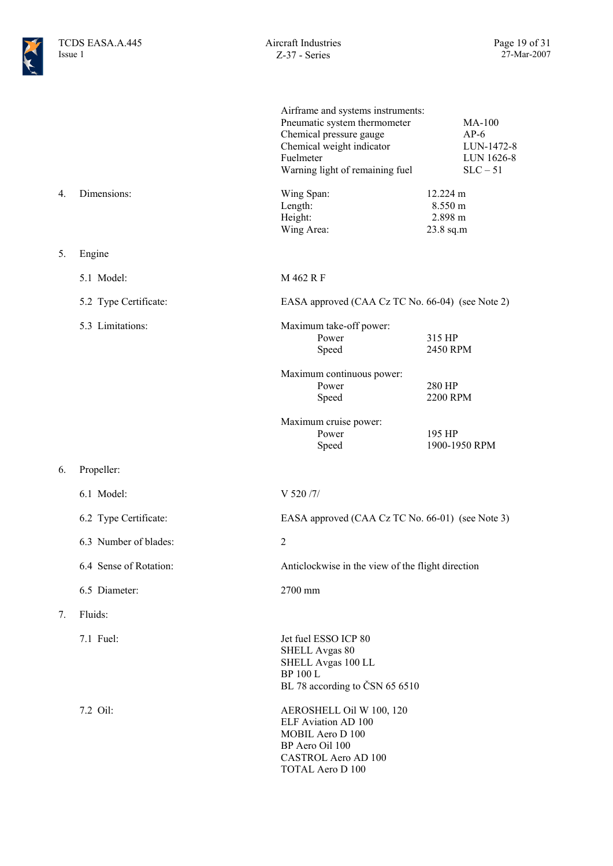|    |                        | Airframe and systems instruments:<br>Pneumatic system thermometer<br>Chemical pressure gauge<br>Chemical weight indicator<br>Fuelmeter<br>Warning light of remaining fuel | <b>MA-100</b><br>$AP-6$<br>LUN-1472-8<br>LUN 1626-8<br>$SLC - 51$ |
|----|------------------------|---------------------------------------------------------------------------------------------------------------------------------------------------------------------------|-------------------------------------------------------------------|
| 4. | Dimensions:            | Wing Span:<br>Length:<br>Height:<br>Wing Area:                                                                                                                            | 12.224 m<br>8.550 m<br>2.898 m<br>23.8 sq.m                       |
| 5. | Engine                 |                                                                                                                                                                           |                                                                   |
|    | 5.1 Model:             | M 462 R F                                                                                                                                                                 |                                                                   |
|    | 5.2 Type Certificate:  | EASA approved (CAA Cz TC No. 66-04) (see Note 2)                                                                                                                          |                                                                   |
|    | 5.3 Limitations:       | Maximum take-off power:<br>Power<br>Speed                                                                                                                                 | 315 HP<br>2450 RPM                                                |
|    |                        | Maximum continuous power:<br>Power<br>Speed                                                                                                                               | 280 HP<br>2200 RPM                                                |
|    |                        | Maximum cruise power:<br>Power<br>Speed                                                                                                                                   | 195 HP<br>1900-1950 RPM                                           |
| 6. | Propeller:             |                                                                                                                                                                           |                                                                   |
|    | 6.1 Model:             | V 520 /7/                                                                                                                                                                 |                                                                   |
|    | 6.2 Type Certificate:  | EASA approved (CAA Cz TC No. 66-01) (see Note 3)                                                                                                                          |                                                                   |
|    | 6.3 Number of blades:  | $\overline{2}$                                                                                                                                                            |                                                                   |
|    | 6.4 Sense of Rotation: | Anticlockwise in the view of the flight direction                                                                                                                         |                                                                   |
|    | 6.5 Diameter:          | 2700 mm                                                                                                                                                                   |                                                                   |
| 7. | Fluids:                |                                                                                                                                                                           |                                                                   |
|    | 7.1 Fuel:              | Jet fuel ESSO ICP 80<br>SHELL Avgas 80<br>SHELL Avgas 100 LL<br><b>BP 100 L</b><br>BL 78 according to ČSN 65 6510                                                         |                                                                   |
|    | 7.2 Oil:               | AEROSHELL Oil W 100, 120<br>ELF Aviation AD 100<br>MOBIL Aero D 100<br>BP Aero Oil 100<br><b>CASTROL Aero AD 100</b><br><b>TOTAL Aero D 100</b>                           |                                                                   |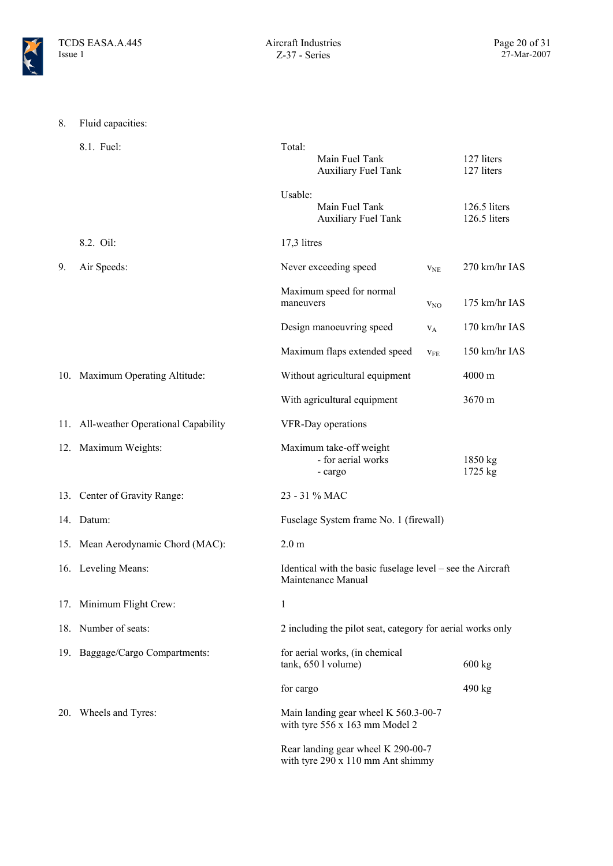

| 8. | Fluid capacities:                      |                  |                                                                                  |                 |                              |
|----|----------------------------------------|------------------|----------------------------------------------------------------------------------|-----------------|------------------------------|
|    | 8.1. Fuel:                             | Total:           | Main Fuel Tank<br><b>Auxiliary Fuel Tank</b>                                     |                 | 127 liters<br>127 liters     |
|    |                                        | Usable:          | Main Fuel Tank<br><b>Auxiliary Fuel Tank</b>                                     |                 | 126.5 liters<br>126.5 liters |
|    | 8.2. Oil:                              | 17,3 litres      |                                                                                  |                 |                              |
| 9. | Air Speeds:                            |                  | Never exceeding speed                                                            | V <sub>NE</sub> | 270 km/hr IAS                |
|    |                                        | maneuvers        | Maximum speed for normal                                                         | V <sub>NO</sub> | 175 km/hr IAS                |
|    |                                        |                  | Design manoeuvring speed                                                         | $V_A$           | 170 km/hr IAS                |
|    |                                        |                  | Maximum flaps extended speed                                                     | V <sub>FE</sub> | 150 km/hr IAS                |
|    | 10. Maximum Operating Altitude:        |                  | Without agricultural equipment                                                   |                 | 4000 m                       |
|    |                                        |                  | With agricultural equipment                                                      |                 | 3670 m                       |
|    | 11. All-weather Operational Capability |                  | VFR-Day operations                                                               |                 |                              |
|    | 12. Maximum Weights:                   |                  | Maximum take-off weight<br>- for aerial works<br>- cargo                         |                 | 1850 kg<br>1725 kg           |
|    | 13. Center of Gravity Range:           |                  | 23 - 31 % MAC                                                                    |                 |                              |
|    | 14. Datum:                             |                  | Fuselage System frame No. 1 (firewall)                                           |                 |                              |
|    | 15. Mean Aerodynamic Chord (MAC):      | 2.0 <sub>m</sub> |                                                                                  |                 |                              |
|    | 16. Leveling Means:                    |                  | Identical with the basic fuselage level – see the Aircraft<br>Maintenance Manual |                 |                              |
|    | 17. Minimum Flight Crew:               | 1                |                                                                                  |                 |                              |
|    | 18. Number of seats:                   |                  | 2 including the pilot seat, category for aerial works only                       |                 |                              |
|    | 19. Baggage/Cargo Compartments:        |                  | for aerial works, (in chemical<br>tank, 650 l volume)                            |                 | 600 kg                       |
|    |                                        | for cargo        |                                                                                  |                 | 490 kg                       |
|    | 20. Wheels and Tyres:                  |                  | Main landing gear wheel K 560.3-00-7<br>with tyre 556 x 163 mm Model 2           |                 |                              |
|    |                                        |                  | Rear landing gear wheel K 290-00-7<br>with tyre 290 x 110 mm Ant shimmy          |                 |                              |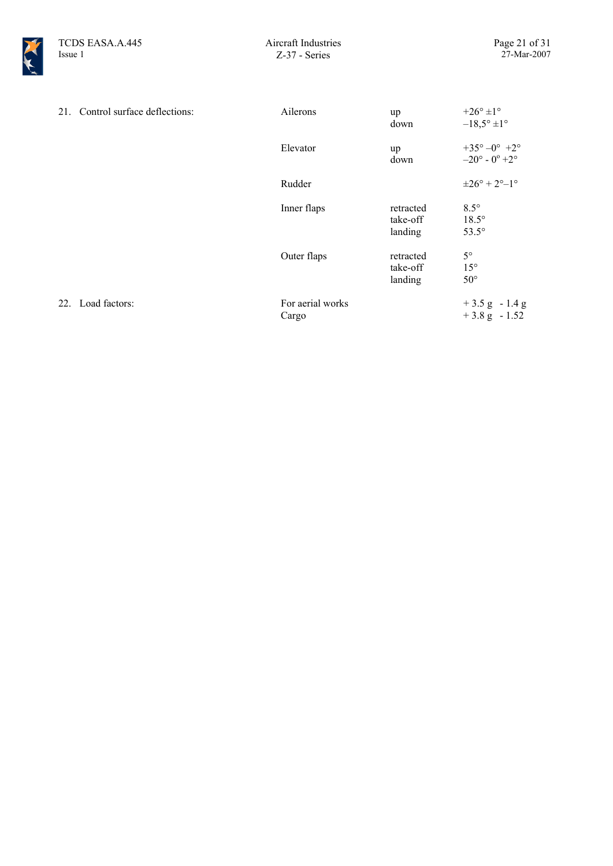

|     | 21. Control surface deflections: | Ailerons                  | up<br>down                       | $+26^{\circ}$ ±1°<br>$-18,5^{\circ} \pm 1^{\circ}$             |
|-----|----------------------------------|---------------------------|----------------------------------|----------------------------------------------------------------|
|     |                                  | Elevator                  | up<br>down                       | $+35^{\circ}-0^{\circ}$ +2°<br>$-20^{\circ}$ - $0^{\circ}$ +2° |
|     |                                  | Rudder                    |                                  | $\pm 26^\circ + 2^\circ - 1^\circ$                             |
|     |                                  | Inner flaps               | retracted<br>take-off<br>landing | $8.5^\circ$<br>$18.5^\circ$<br>$53.5^\circ$                    |
|     |                                  | Outer flaps               | retracted<br>take-off<br>landing | $5^{\circ}$<br>$15^{\circ}$<br>$50^{\circ}$                    |
| 22. | Load factors:                    | For aerial works<br>Cargo |                                  | $+3.5$ g $-1.4$ g<br>$+3.8$ g $-1.52$                          |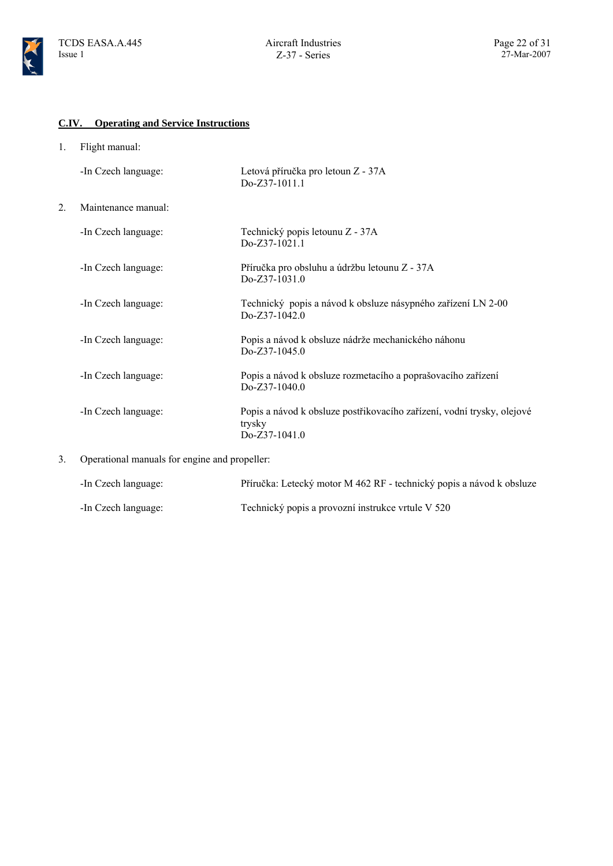### **C.IV. Operating and Service Instructions**

1. Flight manual:

|    | -In Czech language: | Letová příručka pro letoun Z - 37A<br>Do-Z37-1011.1                                                 |
|----|---------------------|-----------------------------------------------------------------------------------------------------|
| 2. | Maintenance manual: |                                                                                                     |
|    | -In Czech language: | Technický popis letounu Z - 37A<br>Do-Z37-1021.1                                                    |
|    | -In Czech language: | Příručka pro obsluhu a údržbu letounu Z - 37A<br>$Do-Z37-1031.0$                                    |
|    | -In Czech language: | Technický popis a návod k obsluze násypného zařízení LN 2-00<br>$Do-Z37-1042.0$                     |
|    | -In Czech language: | Popis a návod k obsluze nádrže mechanického náhonu<br>$Do-Z37-1045.0$                               |
|    | -In Czech language: | Popis a návod k obsluze rozmetacího a poprašovacího zařízení<br>$Do-Z37-1040.0$                     |
|    | -In Czech language: | Popis a návod k obsluze postřikovacího zařízení, vodní trysky, olejové<br>trysky<br>$Do-Z37-1041.0$ |

3. Operational manuals for engine and propeller:

| -In Czech language: | Příručka: Letecký motor M 462 RF - technický popis a návod k obsluze |
|---------------------|----------------------------------------------------------------------|
| -In Czech language: | Technický popis a provozní instrukce vrtule V 520                    |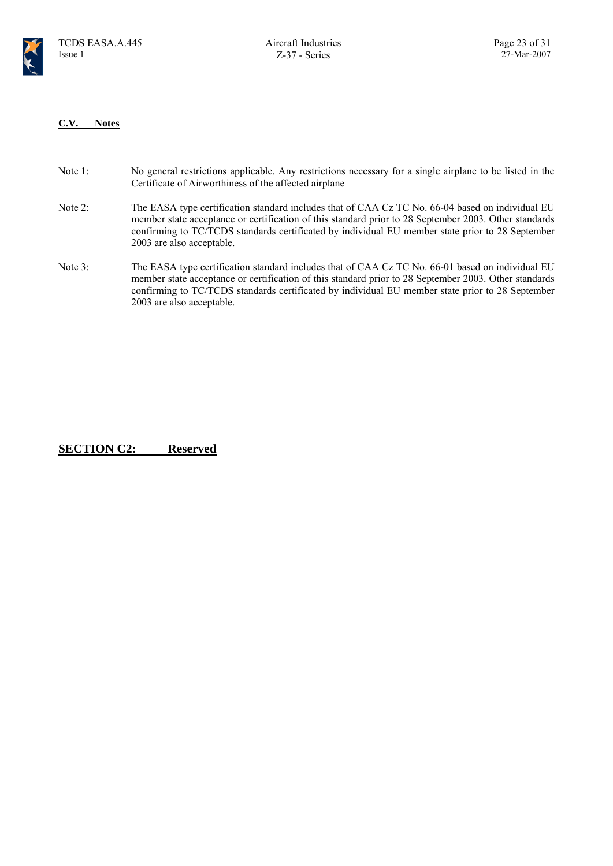

#### **C.V. Notes**

- Note 1: No general restrictions applicable. Any restrictions necessary for a single airplane to be listed in the Certificate of Airworthiness of the affected airplane
- Note 2: The EASA type certification standard includes that of CAA Cz TC No. 66-04 based on individual EU member state acceptance or certification of this standard prior to 28 September 2003. Other standards confirming to TC/TCDS standards certificated by individual EU member state prior to 28 September 2003 are also acceptable.
- Note 3: The EASA type certification standard includes that of CAA Cz TC No. 66-01 based on individual EU member state acceptance or certification of this standard prior to 28 September 2003. Other standards confirming to TC/TCDS standards certificated by individual EU member state prior to 28 September 2003 are also acceptable.

**SECTION C2: Reserved**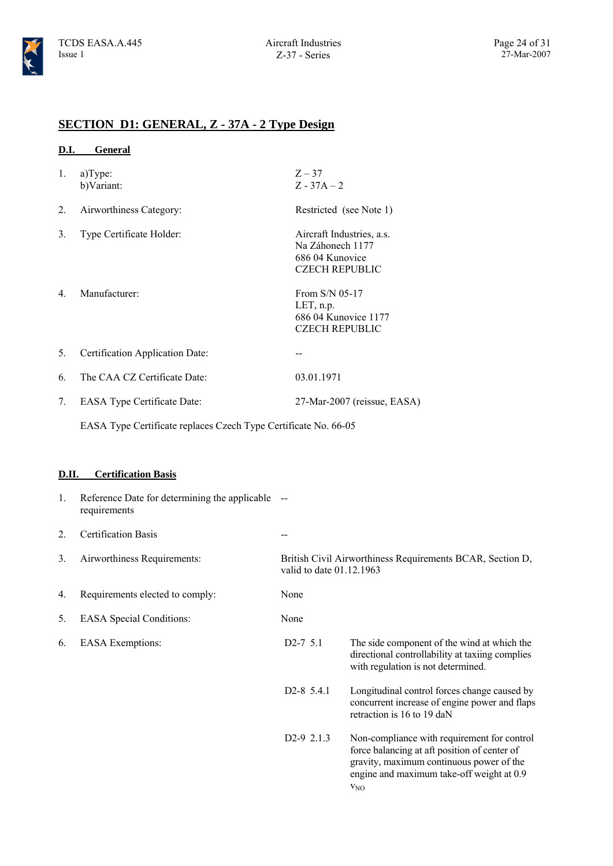### **SECTION D1: GENERAL, Z - 37A - 2 Type Design**

| <b>D.I.</b> | General                                                                                        |                                                              |                                                                                                                                                                                      |
|-------------|------------------------------------------------------------------------------------------------|--------------------------------------------------------------|--------------------------------------------------------------------------------------------------------------------------------------------------------------------------------------|
| 1.          | a)Type:<br>b)Variant:                                                                          | $Z - 37$<br>$Z - 37A - 2$                                    |                                                                                                                                                                                      |
| 2.          | Airworthiness Category:                                                                        |                                                              | Restricted (see Note 1)                                                                                                                                                              |
| 3.          | Type Certificate Holder:                                                                       | Na Záhonech 1177<br>686 04 Kunovice<br><b>CZECH REPUBLIC</b> | Aircraft Industries, a.s.                                                                                                                                                            |
| 4.          | Manufacturer:                                                                                  | From S/N 05-17<br>LET, n.p.<br><b>CZECH REPUBLIC</b>         | 686 04 Kunovice 1177                                                                                                                                                                 |
| 5.          | Certification Application Date:                                                                | $-$                                                          |                                                                                                                                                                                      |
| 6.          | The CAA CZ Certificate Date:                                                                   | 03.01.1971                                                   |                                                                                                                                                                                      |
| 7.          | <b>EASA Type Certificate Date:</b>                                                             |                                                              | 27-Mar-2007 (reissue, EASA)                                                                                                                                                          |
|             | EASA Type Certificate replaces Czech Type Certificate No. 66-05                                |                                                              |                                                                                                                                                                                      |
| D.II.<br>1. | <b>Certification Basis</b><br>Reference Date for determining the applicable --<br>requirements |                                                              |                                                                                                                                                                                      |
| 2.          | <b>Certification Basis</b>                                                                     |                                                              |                                                                                                                                                                                      |
| 3.          | Airworthiness Requirements:                                                                    | valid to date 01.12.1963                                     | British Civil Airworthiness Requirements BCAR, Section D,                                                                                                                            |
| 4.          | Requirements elected to comply:                                                                | None                                                         |                                                                                                                                                                                      |
| 5.          | <b>EASA</b> Special Conditions:                                                                | None                                                         |                                                                                                                                                                                      |
| 6.          | <b>EASA</b> Exemptions:                                                                        | $D2-7$ 5.1                                                   | The side component of the wind at which the<br>directional controllability at taxiing complies<br>with regulation is not determined.                                                 |
|             |                                                                                                | D <sub>2</sub> -8 5.4.1                                      | Longitudinal control forces change caused by<br>concurrent increase of engine power and flaps<br>retraction is 16 to 19 daN                                                          |
|             |                                                                                                | D2-9 2.1.3                                                   | Non-compliance with requirement for control<br>force balancing at aft position of center of<br>gravity, maximum continuous power of the<br>engine and maximum take-off weight at 0.9 |

 $V_{NO}$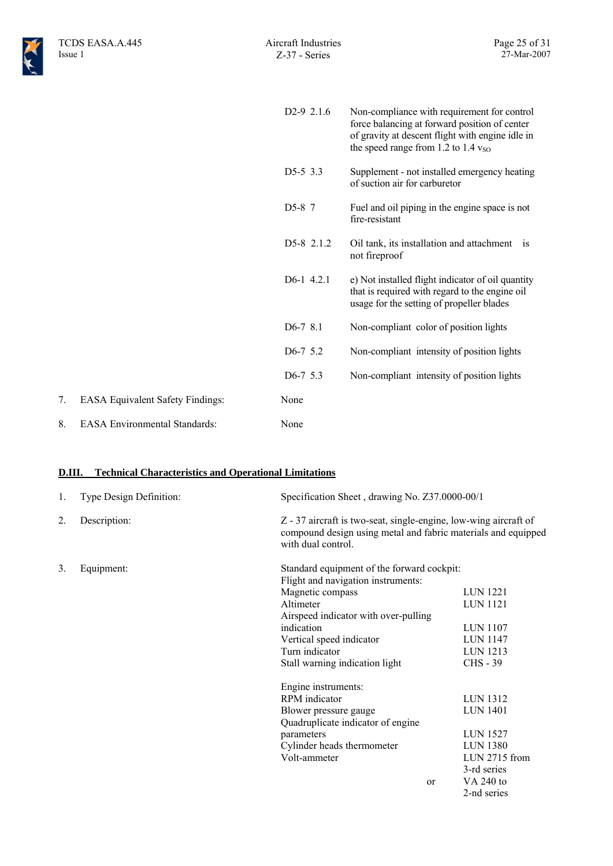|    |                                         | D <sub>2</sub> -9 $2.1.6$ | Non-compliance with requirement for control<br>force balancing at forward position of center<br>of gravity at descent flight with engine idle in<br>the speed range from 1.2 to 1.4 $v_{\text{SO}}$ |
|----|-----------------------------------------|---------------------------|-----------------------------------------------------------------------------------------------------------------------------------------------------------------------------------------------------|
|    |                                         | $D5-5$ 3.3                | Supplement - not installed emergency heating<br>of suction air for carburetor                                                                                                                       |
|    |                                         | D5-8 7                    | Fuel and oil piping in the engine space is not<br>fire-resistant                                                                                                                                    |
|    |                                         | D5-8 2.1.2                | Oil tank, its installation and attachment is<br>not fireproof                                                                                                                                       |
|    |                                         | $D6-1$ 4.2.1              | e) Not installed flight indicator of oil quantity<br>that is required with regard to the engine oil<br>usage for the setting of propeller blades                                                    |
|    |                                         | $D6-78.1$                 | Non-compliant color of position lights                                                                                                                                                              |
|    |                                         | $D6-7$ 5.2                | Non-compliant intensity of position lights                                                                                                                                                          |
|    |                                         | D6-7 5.3                  | Non-compliant intensity of position lights                                                                                                                                                          |
| 7. | <b>EASA Equivalent Safety Findings:</b> | None                      |                                                                                                                                                                                                     |
| 8. | <b>EASA</b> Environmental Standards:    | None                      |                                                                                                                                                                                                     |

### **D.III. Technical Characteristics and Operational Limitations**

| 1. | Type Design Definition: | Specification Sheet, drawing No. Z37.0000-00/1                                                                                                          |                       |
|----|-------------------------|---------------------------------------------------------------------------------------------------------------------------------------------------------|-----------------------|
| 2. | Description:            | Z - 37 aircraft is two-seat, single-engine, low-wing aircraft of<br>compound design using metal and fabric materials and equipped<br>with dual control. |                       |
| 3. | Equipment:              | Standard equipment of the forward cockpit:                                                                                                              |                       |
|    |                         | Flight and navigation instruments:                                                                                                                      |                       |
|    |                         | Magnetic compass                                                                                                                                        | LUN 1221              |
|    |                         | Altimeter                                                                                                                                               | LUN 1121              |
|    |                         | Airspeed indicator with over-pulling                                                                                                                    |                       |
|    |                         | indication                                                                                                                                              | <b>LUN 1107</b>       |
|    |                         | Vertical speed indicator                                                                                                                                | LUN 1147              |
|    |                         | Turn indicator                                                                                                                                          | LUN 1213              |
|    |                         | Stall warning indication light                                                                                                                          | <b>CHS - 39</b>       |
|    |                         | Engine instruments:                                                                                                                                     |                       |
|    |                         | RPM indicator                                                                                                                                           | <b>LUN 1312</b>       |
|    |                         | Blower pressure gauge                                                                                                                                   | <b>LUN 1401</b>       |
|    |                         | Quadruplicate indicator of engine                                                                                                                       |                       |
|    |                         | parameters                                                                                                                                              | LUN 1527              |
|    |                         | Cylinder heads thermometer                                                                                                                              | LUN 1380              |
|    |                         | Volt-ammeter                                                                                                                                            | LUN 2715 from         |
|    |                         |                                                                                                                                                         | 3-rd series           |
|    |                         |                                                                                                                                                         | VA 240 to<br>$\alpha$ |
|    |                         |                                                                                                                                                         | 2-nd series           |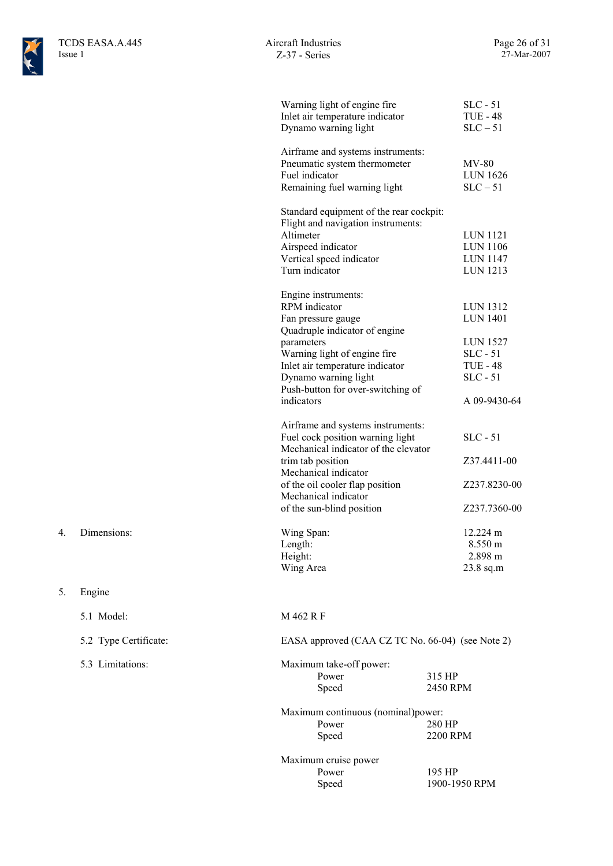

| Warning light of engine fire<br>Inlet air temperature indicator<br>Dynamo warning light                                                                                                                                                                        |                    | $SLC - 51$<br><b>TUE - 48</b><br>$SLC - 51$                                                                   |
|----------------------------------------------------------------------------------------------------------------------------------------------------------------------------------------------------------------------------------------------------------------|--------------------|---------------------------------------------------------------------------------------------------------------|
| Airframe and systems instruments:<br>Pneumatic system thermometer<br>Fuel indicator<br>Remaining fuel warning light                                                                                                                                            |                    | $MV-80$<br><b>LUN 1626</b><br>$SLC - 51$                                                                      |
| Standard equipment of the rear cockpit:<br>Flight and navigation instruments:<br>Altimeter<br>Airspeed indicator<br>Vertical speed indicator<br>Turn indicator                                                                                                 |                    | LUN 1121<br>LUN 1106<br><b>LUN 1147</b><br>LUN 1213                                                           |
| Engine instruments:<br><b>RPM</b> indicator<br>Fan pressure gauge<br>Quadruple indicator of engine<br>parameters<br>Warning light of engine fire<br>Inlet air temperature indicator<br>Dynamo warning light<br>Push-button for over-switching of<br>indicators |                    | LUN 1312<br><b>LUN 1401</b><br><b>LUN 1527</b><br>$SLC - 51$<br><b>TUE - 48</b><br>$SLC - 51$<br>A 09-9430-64 |
| Airframe and systems instruments:<br>Fuel cock position warning light<br>Mechanical indicator of the elevator<br>trim tab position<br>Mechanical indicator<br>of the oil cooler flap position<br>Mechanical indicator<br>of the sun-blind position             |                    | $SLC - 51$<br>Z37.4411-00<br>Z237.8230-00<br>Z237.7360-00                                                     |
| Wing Span:<br>Length:<br>Height:<br>Wing Area                                                                                                                                                                                                                  |                    | 12.224 m<br>8.550 m<br>2.898 m<br>$23.8$ sq.m                                                                 |
| M 462 R F                                                                                                                                                                                                                                                      |                    |                                                                                                               |
| EASA approved (CAA CZ TC No. 66-04) (see Note 2)                                                                                                                                                                                                               |                    |                                                                                                               |
| Maximum take-off power:<br>Power<br>Speed                                                                                                                                                                                                                      | 315 HP<br>2450 RPM |                                                                                                               |
| Maximum continuous (nominal)power:<br>Power<br>Speed                                                                                                                                                                                                           | 280 HP<br>2200 RPM |                                                                                                               |
| Maximum cruise power<br>Power                                                                                                                                                                                                                                  | 195 HP             |                                                                                                               |

- 4. Dimensions:
- 5. Engine
	- 5.2 Type Certificate:
	- 5.3 Limitations:

5.1 Model:

Power 195 HP<br>Speed 1900-19 1900-1950 RPM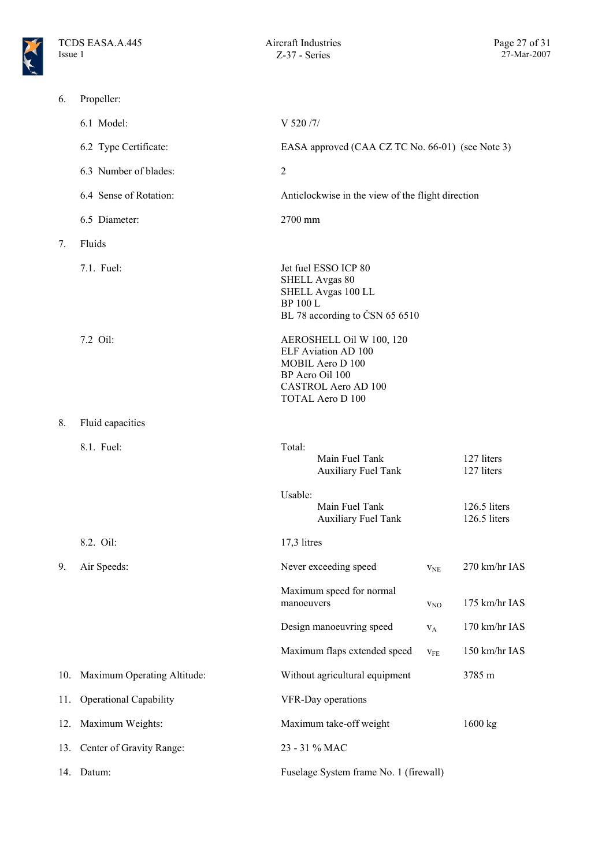

6. Propeller:

|     | 6.1 Model:                    | V 520/7/                                                                                                                                        |
|-----|-------------------------------|-------------------------------------------------------------------------------------------------------------------------------------------------|
|     | 6.2 Type Certificate:         | EASA approved (CAA CZ TC No. 66-01) (see Note 3)                                                                                                |
|     | 6.3 Number of blades:         | $\overline{2}$                                                                                                                                  |
|     | 6.4 Sense of Rotation:        | Anticlockwise in the view of the flight direction                                                                                               |
|     | 6.5 Diameter:                 | 2700 mm                                                                                                                                         |
| 7.  | Fluids                        |                                                                                                                                                 |
|     | 7.1. Fuel:                    | Jet fuel ESSO ICP 80<br>SHELL Avgas 80<br>SHELL Avgas 100 LL<br><b>BP 100 L</b><br>BL 78 according to ČSN 65 6510                               |
|     | 7.2 Oil:                      | AEROSHELL Oil W 100, 120<br>ELF Aviation AD 100<br>MOBIL Aero D 100<br>BP Aero Oil 100<br><b>CASTROL Aero AD 100</b><br><b>TOTAL Aero D 100</b> |
| 8.  | Fluid capacities              |                                                                                                                                                 |
|     | 8.1. Fuel:                    | Total:<br>127 liters<br>Main Fuel Tank<br><b>Auxiliary Fuel Tank</b><br>127 liters                                                              |
|     |                               | Usable:<br>Main Fuel Tank<br>126.5 liters<br><b>Auxiliary Fuel Tank</b><br>126.5 liters                                                         |
|     | 8.2. Oil:                     | 17,3 litres                                                                                                                                     |
| 9.  | Air Speeds:                   | Never exceeding speed<br>270 km/hr IAS<br><b>V<sub>NE</sub></b>                                                                                 |
|     |                               | Maximum speed for normal<br>175 km/hr IAS<br>manoeuvers<br>V <sub>NO</sub>                                                                      |
|     |                               | 170 km/hr IAS<br>Design manoeuvring speed<br>$V_A$                                                                                              |
|     |                               | Maximum flaps extended speed<br>$150$ km/hr $\rm IAS$<br>V <sub>FE</sub>                                                                        |
| 10. | Maximum Operating Altitude:   | Without agricultural equipment<br>3785 m                                                                                                        |
| 11. | <b>Operational Capability</b> | VFR-Day operations                                                                                                                              |
| 12. | Maximum Weights:              | Maximum take-off weight<br>1600 kg                                                                                                              |
|     | 13. Center of Gravity Range:  | 23 - 31 % MAC                                                                                                                                   |
| 14. | Datum:                        | Fuselage System frame No. 1 (firewall)                                                                                                          |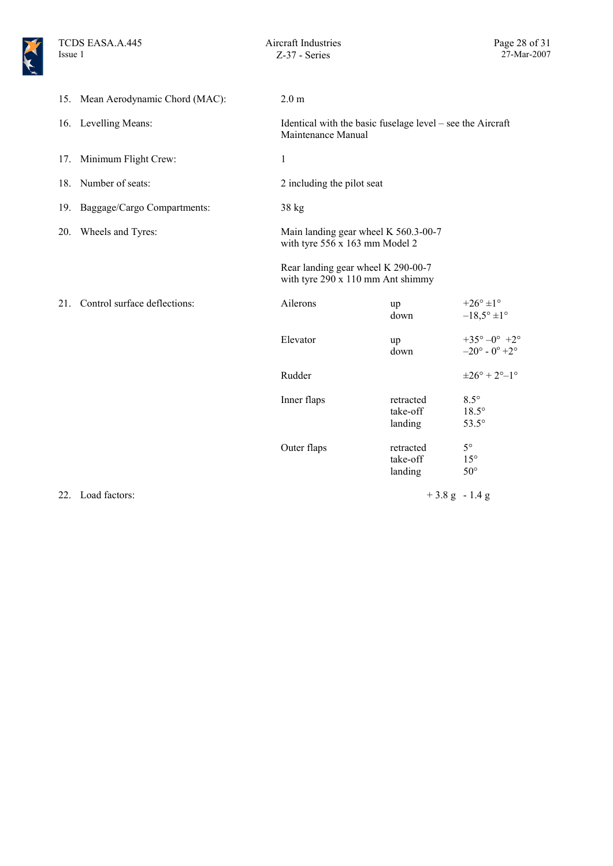|     | 15. Mean Aerodynamic Chord (MAC): | 2.0 <sub>m</sub>                                                                 |                                  |                                                                |
|-----|-----------------------------------|----------------------------------------------------------------------------------|----------------------------------|----------------------------------------------------------------|
|     | 16. Levelling Means:              | Identical with the basic fuselage level – see the Aircraft<br>Maintenance Manual |                                  |                                                                |
|     | 17. Minimum Flight Crew:          | $\mathbf{1}$                                                                     |                                  |                                                                |
|     | 18. Number of seats:              | 2 including the pilot seat                                                       |                                  |                                                                |
|     | 19. Baggage/Cargo Compartments:   | $38$ kg                                                                          |                                  |                                                                |
| 20. | Wheels and Tyres:                 | Main landing gear wheel K 560.3-00-7<br>with tyre 556 x 163 mm Model 2           |                                  |                                                                |
|     |                                   | Rear landing gear wheel K 290-00-7<br>with tyre 290 x 110 mm Ant shimmy          |                                  |                                                                |
| 21. | Control surface deflections:      | Ailerons                                                                         | up<br>down                       | $+26^\circ \pm 1^\circ$<br>$-18,5^{\circ} \pm 1^{\circ}$       |
|     |                                   | Elevator                                                                         | up<br>down                       | $+35^{\circ}-0^{\circ}$ +2°<br>$-20^{\circ}$ - $0^{\circ}$ +2° |
|     |                                   | Rudder                                                                           |                                  | $\pm 26^{\circ} + 2^{\circ} - 1^{\circ}$                       |
|     |                                   | Inner flaps                                                                      | retracted<br>take-off<br>landing | $8.5^\circ$<br>$18.5^\circ$<br>$53.5^\circ$                    |
|     |                                   | Outer flaps                                                                      | retracted<br>take-off<br>landing | $5^\circ$<br>$15^{\circ}$<br>$50^{\circ}$                      |
|     | 22. Load factors:                 |                                                                                  | $+3.8$ g - 1.4 g                 |                                                                |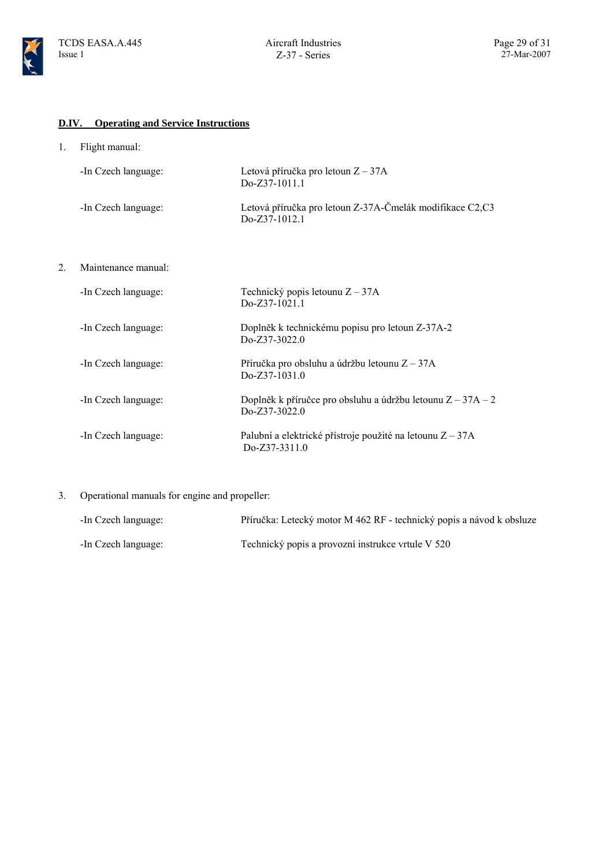

### **D.IV. Operating and Service Instructions**

1. Flight manual:

| -In Czech language: | Letová příručka pro letoun $Z - 37A$<br>$DoZ37-1011.1$                     |
|---------------------|----------------------------------------------------------------------------|
| -In Czech language: | Letová příručka pro letoun Z-37A-Čmelák modifikace C2,C3<br>$DoZ37-1012.1$ |

2. Maintenance manual:

| -In Czech language: | Technický popis letounu $Z - 37A$<br>$Do-Z37-1021.1$                             |
|---------------------|----------------------------------------------------------------------------------|
| -In Czech language: | Doplněk k technickému popisu pro letoun Z-37A-2<br>$DoZ37-3022.0$                |
| -In Czech language: | Příručka pro obsluhu a údržbu letounu $Z - 37A$<br>$DoZ37-1031.0$                |
| -In Czech language: | Doplněk k příručce pro obsluhu a údržbu letounu $Z - 37A - 2$<br>$Do-Z37-3022.0$ |
| -In Czech language: | Palubní a elektrické přístroje použité na letounu $Z - 37A$<br>$DoZ37-3311.0$    |

3. Operational manuals for engine and propeller:

| -In Czech language: | Příručka: Letecký motor M 462 RF - technický popis a návod k obsluze |
|---------------------|----------------------------------------------------------------------|
| -In Czech language: | Technický popis a provozní instrukce vrtule V 520                    |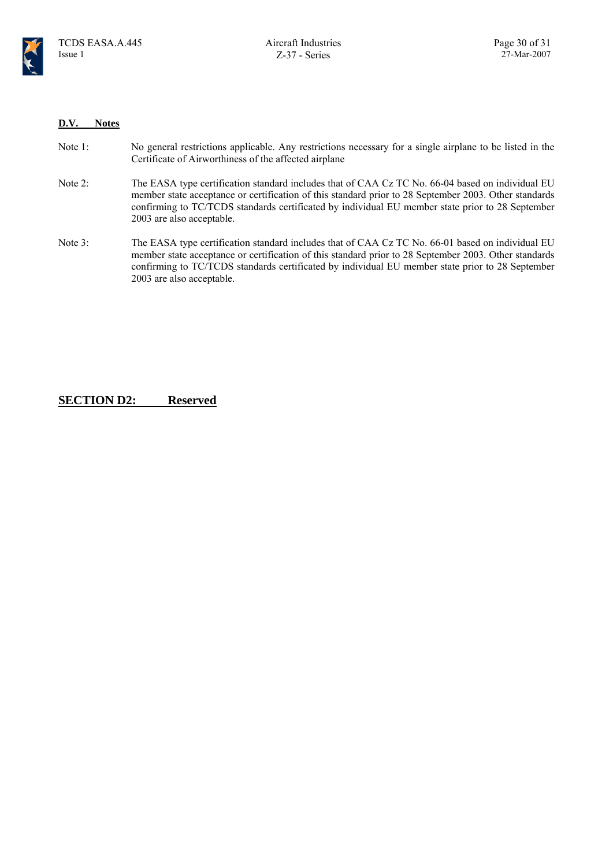

#### **D.V. Notes**

| Note 1: | No general restrictions applicable. Any restrictions necessary for a single airplane to be listed in the |
|---------|----------------------------------------------------------------------------------------------------------|
|         | Certificate of Airworthiness of the affected airplane                                                    |

- Note 2: The EASA type certification standard includes that of CAA Cz TC No. 66-04 based on individual EU member state acceptance or certification of this standard prior to 28 September 2003. Other standards confirming to TC/TCDS standards certificated by individual EU member state prior to 28 September 2003 are also acceptable.
- Note 3: The EASA type certification standard includes that of CAA Cz TC No. 66-01 based on individual EU member state acceptance or certification of this standard prior to 28 September 2003. Other standards confirming to TC/TCDS standards certificated by individual EU member state prior to 28 September 2003 are also acceptable.

#### **SECTION D2: Reserved**